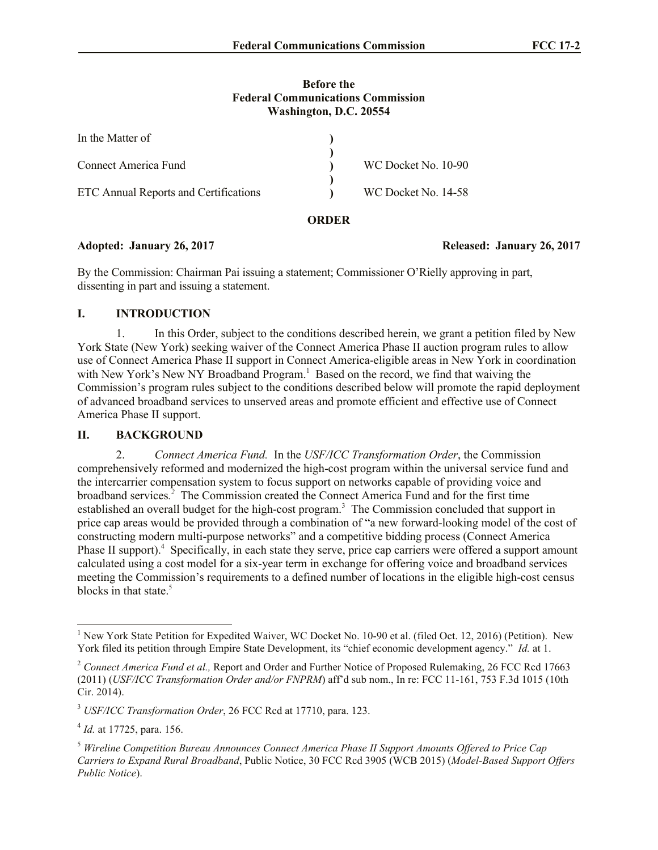### **Before the Federal Communications Commission Washington, D.C. 20554**

| In the Matter of                      |                     |
|---------------------------------------|---------------------|
|                                       |                     |
| Connect America Fund                  | WC Docket No. 10-90 |
|                                       |                     |
| ETC Annual Reports and Certifications | WC Docket No. 14-58 |
|                                       |                     |

## **ORDER**

## **Adopted: January 26, 2017 Released: January 26, 2017**

By the Commission: Chairman Pai issuing a statement; Commissioner O'Rielly approving in part, dissenting in part and issuing a statement.

# **I. INTRODUCTION**

1. In this Order, subject to the conditions described herein, we grant a petition filed by New York State (New York) seeking waiver of the Connect America Phase II auction program rules to allow use of Connect America Phase II support in Connect America-eligible areas in New York in coordination with New York's New NY Broadband Program.<sup>1</sup> Based on the record, we find that waiving the Commission's program rules subject to the conditions described below will promote the rapid deployment of advanced broadband services to unserved areas and promote efficient and effective use of Connect America Phase II support.

## **II. BACKGROUND**

2. *Connect America Fund.* In the *USF/ICC Transformation Order*, the Commission comprehensively reformed and modernized the high-cost program within the universal service fund and the intercarrier compensation system to focus support on networks capable of providing voice and broadband services.<sup>2</sup> The Commission created the Connect America Fund and for the first time established an overall budget for the high-cost program.<sup>3</sup> The Commission concluded that support in price cap areas would be provided through a combination of "a new forward-looking model of the cost of constructing modern multi-purpose networks" and a competitive bidding process (Connect America Phase II support).<sup>4</sup> Specifically, in each state they serve, price cap carriers were offered a support amount calculated using a cost model for a six-year term in exchange for offering voice and broadband services meeting the Commission's requirements to a defined number of locations in the eligible high-cost census blocks in that state.<sup>5</sup>

l <sup>1</sup> New York State Petition for Expedited Waiver, WC Docket No. 10-90 et al. (filed Oct. 12, 2016) (Petition). New York filed its petition through Empire State Development, its "chief economic development agency." *Id.* at 1.

<sup>&</sup>lt;sup>2</sup> Connect America Fund et al., Report and Order and Further Notice of Proposed Rulemaking, 26 FCC Rcd 17663 (2011) (*USF/ICC Transformation Order and/or FNPRM*) aff'd sub nom., In re: FCC 11-161, 753 F.3d 1015 (10th Cir. 2014).

<sup>3</sup> *USF/ICC Transformation Order*, 26 FCC Rcd at 17710, para. 123.

<sup>4</sup> *Id.* at 17725, para. 156.

<sup>5</sup> *Wireline Competition Bureau Announces Connect America Phase II Support Amounts Offered to Price Cap Carriers to Expand Rural Broadband*, Public Notice, 30 FCC Rcd 3905 (WCB 2015) (*Model-Based Support Offers Public Notice*).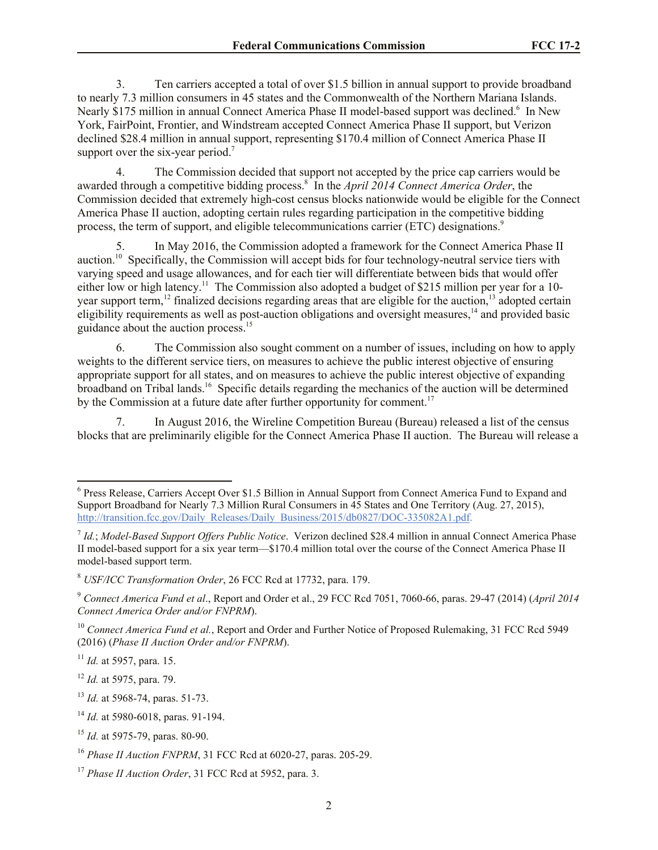3. Ten carriers accepted a total of over \$1.5 billion in annual support to provide broadband to nearly 7.3 million consumers in 45 states and the Commonwealth of the Northern Mariana Islands. Nearly \$175 million in annual Connect America Phase II model-based support was declined.<sup>6</sup> In New York, FairPoint, Frontier, and Windstream accepted Connect America Phase II support, but Verizon declined \$28.4 million in annual support, representing \$170.4 million of Connect America Phase II support over the six-year period.<sup>7</sup>

4. The Commission decided that support not accepted by the price cap carriers would be awarded through a competitive bidding process.<sup>8</sup> In the *April 2014 Connect America Order*, the Commission decided that extremely high-cost census blocks nationwide would be eligible for the Connect America Phase II auction, adopting certain rules regarding participation in the competitive bidding process, the term of support, and eligible telecommunications carrier (ETC) designations.<sup>9</sup>

In May 2016, the Commission adopted a framework for the Connect America Phase II auction.<sup>10</sup> Specifically, the Commission will accept bids for four technology-neutral service tiers with varying speed and usage allowances, and for each tier will differentiate between bids that would offer either low or high latency.<sup>11</sup> The Commission also adopted a budget of \$215 million per year for a 10year support term,<sup>12</sup> finalized decisions regarding areas that are eligible for the auction,<sup>13</sup> adopted certain eligibility requirements as well as post-auction obligations and oversight measures, $14$  and provided basic guidance about the auction process.<sup>15</sup>

6. The Commission also sought comment on a number of issues, including on how to apply weights to the different service tiers, on measures to achieve the public interest objective of ensuring appropriate support for all states, and on measures to achieve the public interest objective of expanding broadband on Tribal lands.<sup>16</sup> Specific details regarding the mechanics of the auction will be determined by the Commission at a future date after further opportunity for comment.<sup>17</sup>

7. In August 2016, the Wireline Competition Bureau (Bureau) released a list of the census blocks that are preliminarily eligible for the Connect America Phase II auction. The Bureau will release a

<sup>&</sup>lt;sup>6</sup> Press Release, Carriers Accept Over \$1.5 Billion in Annual Support from Connect America Fund to Expand and Support Broadband for Nearly 7.3 Million Rural Consumers in 45 States and One Territory (Aug. 27, 2015), http://transition.fcc.gov/Daily\_Releases/Daily\_Business/2015/db0827/DOC-335082A1.pdf.

<sup>7</sup> *Id.*; *Model-Based Support Offers Public Notice*. Verizon declined \$28.4 million in annual Connect America Phase II model-based support for a six year term—\$170.4 million total over the course of the Connect America Phase II model-based support term.

<sup>8</sup> *USF/ICC Transformation Order*, 26 FCC Rcd at 17732, para. 179.

<sup>9</sup> *Connect America Fund et al*., Report and Order et al., 29 FCC Rcd 7051, 7060-66, paras. 29-47 (2014) (*April 2014 Connect America Order and/or FNPRM*).

<sup>&</sup>lt;sup>10</sup> Connect America Fund et al., Report and Order and Further Notice of Proposed Rulemaking, 31 FCC Rcd 5949 (2016) (*Phase II Auction Order and/or FNPRM*).

<sup>11</sup> *Id.* at 5957, para. 15.

<sup>12</sup> *Id.* at 5975, para. 79.

<sup>13</sup> *Id.* at 5968-74, paras. 51-73.

<sup>14</sup> *Id.* at 5980-6018, paras. 91-194.

<sup>15</sup> *Id.* at 5975-79, paras. 80-90.

<sup>16</sup> *Phase II Auction FNPRM*, 31 FCC Rcd at 6020-27, paras. 205-29.

<sup>17</sup> *Phase II Auction Order*, 31 FCC Rcd at 5952, para. 3.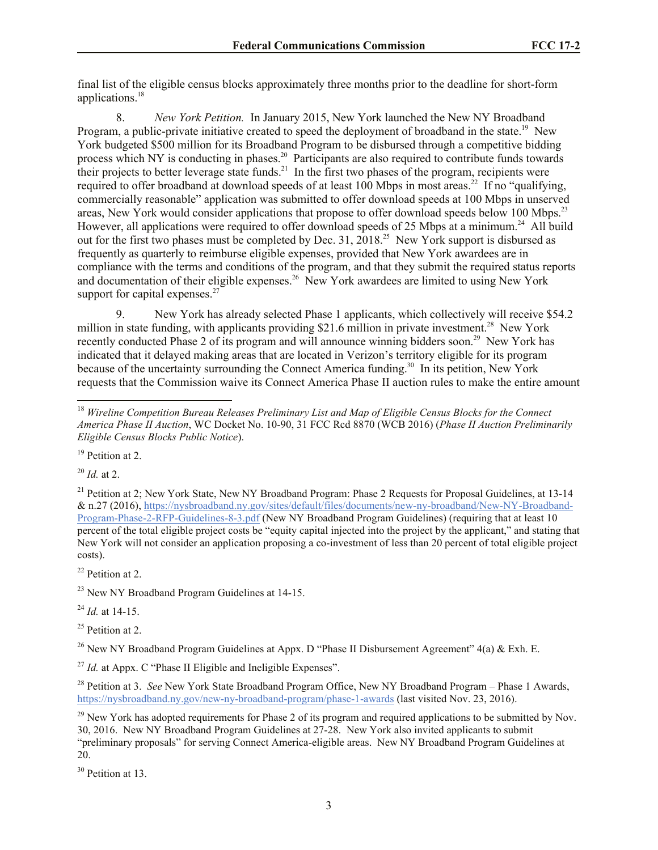final list of the eligible census blocks approximately three months prior to the deadline for short-form applications.<sup>18</sup>

8. *New York Petition.* In January 2015, New York launched the New NY Broadband Program, a public-private initiative created to speed the deployment of broadband in the state.<sup>19</sup> New York budgeted \$500 million for its Broadband Program to be disbursed through a competitive bidding process which NY is conducting in phases.<sup>20</sup> Participants are also required to contribute funds towards their projects to better leverage state funds.<sup>21</sup> In the first two phases of the program, recipients were required to offer broadband at download speeds of at least 100 Mbps in most areas.<sup>22</sup> If no "qualifying, commercially reasonable" application was submitted to offer download speeds at 100 Mbps in unserved areas, New York would consider applications that propose to offer download speeds below 100 Mbps.<sup>23</sup> However, all applications were required to offer download speeds of 25 Mbps at a minimum.<sup>24</sup> All build out for the first two phases must be completed by Dec. 31, 2018.<sup>25</sup> New York support is disbursed as frequently as quarterly to reimburse eligible expenses, provided that New York awardees are in compliance with the terms and conditions of the program, and that they submit the required status reports and documentation of their eligible expenses.<sup>26</sup> New York awardees are limited to using New York support for capital expenses. $27$ 

9. New York has already selected Phase 1 applicants, which collectively will receive \$54.2 million in state funding, with applicants providing \$21.6 million in private investment.<sup>28</sup> New York recently conducted Phase 2 of its program and will announce winning bidders soon.<sup>29</sup> New York has indicated that it delayed making areas that are located in Verizon's territory eligible for its program because of the uncertainty surrounding the Connect America funding.<sup>30</sup> In its petition, New York requests that the Commission waive its Connect America Phase II auction rules to make the entire amount

<sup>20</sup> *Id.* at 2.

l

<sup>21</sup> Petition at 2: New York State, New NY Broadband Program: Phase 2 Requests for Proposal Guidelines, at 13-14 & n.27 (2016), https://nysbroadband.ny.gov/sites/default/files/documents/new-ny-broadband/New-NY-Broadband-Program-Phase-2-RFP-Guidelines-8-3.pdf (New NY Broadband Program Guidelines) (requiring that at least 10 percent of the total eligible project costs be "equity capital injected into the project by the applicant," and stating that New York will not consider an application proposing a co-investment of less than 20 percent of total eligible project costs).

<sup>22</sup> Petition at 2.

 $^{23}$  New NY Broadband Program Guidelines at 14-15.

<sup>24</sup> *Id.* at 14-15.

 $25$  Petition at 2.

<sup>26</sup> New NY Broadband Program Guidelines at Appx. D "Phase II Disbursement Agreement"  $4(a)$  & Exh. E.

<sup>27</sup> *Id.* at Appx. C "Phase II Eligible and Ineligible Expenses".

<sup>28</sup> Petition at 3. *See* New York State Broadband Program Office, New NY Broadband Program – Phase 1 Awards, https://nysbroadband.ny.gov/new-ny-broadband-program/phase-1-awards (last visited Nov. 23, 2016).

 $^{29}$  New York has adopted requirements for Phase 2 of its program and required applications to be submitted by Nov. 30, 2016. New NY Broadband Program Guidelines at 27-28. New York also invited applicants to submit "preliminary proposals" for serving Connect America-eligible areas. New NY Broadband Program Guidelines at 20.

<sup>30</sup> Petition at 13.

<sup>18</sup> *Wireline Competition Bureau Releases Preliminary List and Map of Eligible Census Blocks for the Connect America Phase II Auction*, WC Docket No. 10-90, 31 FCC Rcd 8870 (WCB 2016) (*Phase II Auction Preliminarily Eligible Census Blocks Public Notice*).

<sup>&</sup>lt;sup>19</sup> Petition at 2.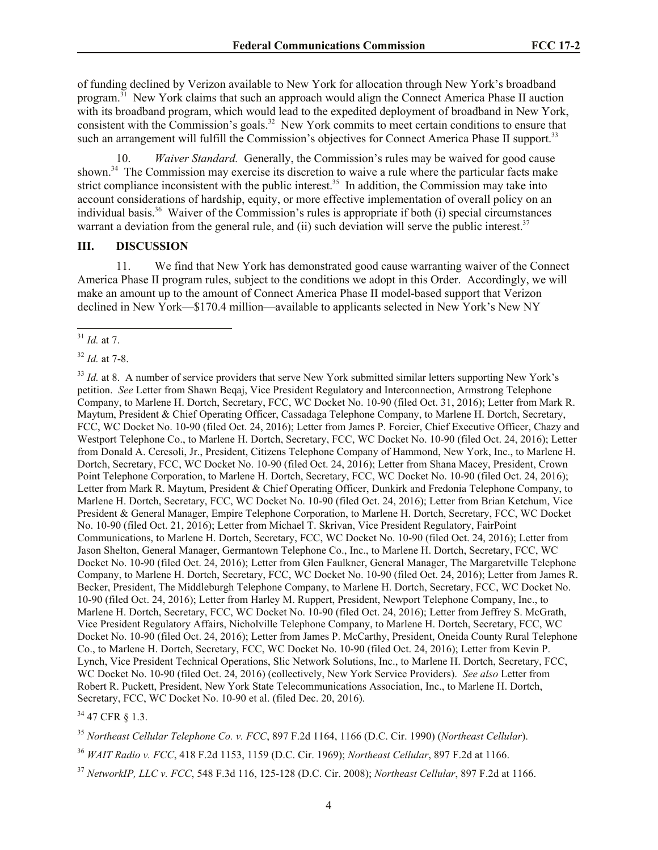of funding declined by Verizon available to New York for allocation through New York's broadband program.<sup>31</sup> New York claims that such an approach would align the Connect America Phase II auction with its broadband program, which would lead to the expedited deployment of broadband in New York, consistent with the Commission's goals.<sup>32</sup> New York commits to meet certain conditions to ensure that such an arrangement will fulfill the Commission's objectives for Connect America Phase II support.<sup>33</sup>

10. *Waiver Standard.* Generally, the Commission's rules may be waived for good cause shown.<sup>34</sup> The Commission may exercise its discretion to waive a rule where the particular facts make strict compliance inconsistent with the public interest.<sup>35</sup> In addition, the Commission may take into account considerations of hardship, equity, or more effective implementation of overall policy on an individual basis.<sup>36</sup> Waiver of the Commission's rules is appropriate if both (i) special circumstances warrant a deviation from the general rule, and (ii) such deviation will serve the public interest.<sup>37</sup>

#### **III. DISCUSSION**

11. We find that New York has demonstrated good cause warranting waiver of the Connect America Phase II program rules, subject to the conditions we adopt in this Order. Accordingly, we will make an amount up to the amount of Connect America Phase II model-based support that Verizon declined in New York—\$170.4 million—available to applicants selected in New York's New NY

l

<sup>34</sup> 47 CFR § 1.3.

<sup>35</sup> *Northeast Cellular Telephone Co. v. FCC*, 897 F.2d 1164, 1166 (D.C. Cir. 1990) (*Northeast Cellular*).

<sup>36</sup> *WAIT Radio v. FCC*, 418 F.2d 1153, 1159 (D.C. Cir. 1969); *Northeast Cellular*, 897 F.2d at 1166.

<sup>37</sup> *NetworkIP, LLC v. FCC*, 548 F.3d 116, 125-128 (D.C. Cir. 2008); *Northeast Cellular*, 897 F.2d at 1166.

<sup>31</sup> *Id.* at 7.

<sup>32</sup> *Id.* at 7-8.

<sup>&</sup>lt;sup>33</sup> *Id.* at 8. A number of service providers that serve New York submitted similar letters supporting New York's petition. *See* Letter from Shawn Beqaj, Vice President Regulatory and Interconnection, Armstrong Telephone Company, to Marlene H. Dortch, Secretary, FCC, WC Docket No. 10-90 (filed Oct. 31, 2016); Letter from Mark R. Maytum, President & Chief Operating Officer, Cassadaga Telephone Company, to Marlene H. Dortch, Secretary, FCC, WC Docket No. 10-90 (filed Oct. 24, 2016); Letter from James P. Forcier, Chief Executive Officer, Chazy and Westport Telephone Co., to Marlene H. Dortch, Secretary, FCC, WC Docket No. 10-90 (filed Oct. 24, 2016); Letter from Donald A. Ceresoli, Jr., President, Citizens Telephone Company of Hammond, New York, Inc., to Marlene H. Dortch, Secretary, FCC, WC Docket No. 10-90 (filed Oct. 24, 2016); Letter from Shana Macey, President, Crown Point Telephone Corporation, to Marlene H. Dortch, Secretary, FCC, WC Docket No. 10-90 (filed Oct. 24, 2016); Letter from Mark R. Maytum, President & Chief Operating Officer, Dunkirk and Fredonia Telephone Company, to Marlene H. Dortch, Secretary, FCC, WC Docket No. 10-90 (filed Oct. 24, 2016); Letter from Brian Ketchum, Vice President & General Manager, Empire Telephone Corporation, to Marlene H. Dortch, Secretary, FCC, WC Docket No. 10-90 (filed Oct. 21, 2016); Letter from Michael T. Skrivan, Vice President Regulatory, FairPoint Communications, to Marlene H. Dortch, Secretary, FCC, WC Docket No. 10-90 (filed Oct. 24, 2016); Letter from Jason Shelton, General Manager, Germantown Telephone Co., Inc., to Marlene H. Dortch, Secretary, FCC, WC Docket No. 10-90 (filed Oct. 24, 2016); Letter from Glen Faulkner, General Manager, The Margaretville Telephone Company, to Marlene H. Dortch, Secretary, FCC, WC Docket No. 10-90 (filed Oct. 24, 2016); Letter from James R. Becker, President, The Middleburgh Telephone Company, to Marlene H. Dortch, Secretary, FCC, WC Docket No. 10-90 (filed Oct. 24, 2016); Letter from Harley M. Ruppert, President, Newport Telephone Company, Inc., to Marlene H. Dortch, Secretary, FCC, WC Docket No. 10-90 (filed Oct. 24, 2016); Letter from Jeffrey S. McGrath, Vice President Regulatory Affairs, Nicholville Telephone Company, to Marlene H. Dortch, Secretary, FCC, WC Docket No. 10-90 (filed Oct. 24, 2016); Letter from James P. McCarthy, President, Oneida County Rural Telephone Co., to Marlene H. Dortch, Secretary, FCC, WC Docket No. 10-90 (filed Oct. 24, 2016); Letter from Kevin P. Lynch, Vice President Technical Operations, Slic Network Solutions, Inc., to Marlene H. Dortch, Secretary, FCC, WC Docket No. 10-90 (filed Oct. 24, 2016) (collectively, New York Service Providers). *See also* Letter from Robert R. Puckett, President, New York State Telecommunications Association, Inc., to Marlene H. Dortch, Secretary, FCC, WC Docket No. 10-90 et al. (filed Dec. 20, 2016).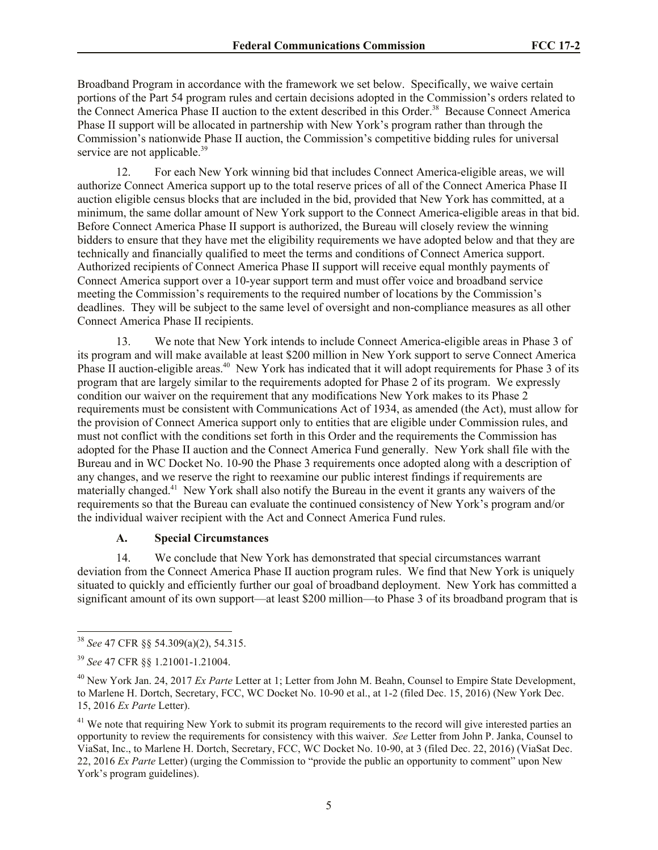Broadband Program in accordance with the framework we set below. Specifically, we waive certain portions of the Part 54 program rules and certain decisions adopted in the Commission's orders related to the Connect America Phase II auction to the extent described in this Order.<sup>38</sup> Because Connect America Phase II support will be allocated in partnership with New York's program rather than through the Commission's nationwide Phase II auction, the Commission's competitive bidding rules for universal service are not applicable.<sup>39</sup>

12. For each New York winning bid that includes Connect America-eligible areas, we will authorize Connect America support up to the total reserve prices of all of the Connect America Phase II auction eligible census blocks that are included in the bid, provided that New York has committed, at a minimum, the same dollar amount of New York support to the Connect America-eligible areas in that bid. Before Connect America Phase II support is authorized, the Bureau will closely review the winning bidders to ensure that they have met the eligibility requirements we have adopted below and that they are technically and financially qualified to meet the terms and conditions of Connect America support. Authorized recipients of Connect America Phase II support will receive equal monthly payments of Connect America support over a 10-year support term and must offer voice and broadband service meeting the Commission's requirements to the required number of locations by the Commission's deadlines. They will be subject to the same level of oversight and non-compliance measures as all other Connect America Phase II recipients.

13. We note that New York intends to include Connect America-eligible areas in Phase 3 of its program and will make available at least \$200 million in New York support to serve Connect America Phase II auction-eligible areas.<sup>40</sup> New York has indicated that it will adopt requirements for Phase 3 of its program that are largely similar to the requirements adopted for Phase 2 of its program. We expressly condition our waiver on the requirement that any modifications New York makes to its Phase 2 requirements must be consistent with Communications Act of 1934, as amended (the Act), must allow for the provision of Connect America support only to entities that are eligible under Commission rules, and must not conflict with the conditions set forth in this Order and the requirements the Commission has adopted for the Phase II auction and the Connect America Fund generally. New York shall file with the Bureau and in WC Docket No. 10-90 the Phase 3 requirements once adopted along with a description of any changes, and we reserve the right to reexamine our public interest findings if requirements are materially changed.<sup>41</sup> New York shall also notify the Bureau in the event it grants any waivers of the requirements so that the Bureau can evaluate the continued consistency of New York's program and/or the individual waiver recipient with the Act and Connect America Fund rules.

## **A. Special Circumstances**

14. We conclude that New York has demonstrated that special circumstances warrant deviation from the Connect America Phase II auction program rules. We find that New York is uniquely situated to quickly and efficiently further our goal of broadband deployment. New York has committed a significant amount of its own support—at least \$200 million—to Phase 3 of its broadband program that is

<sup>38</sup> *See* 47 CFR §§ 54.309(a)(2), 54.315.

<sup>39</sup> *See* 47 CFR §§ 1.21001-1.21004.

<sup>40</sup> New York Jan. 24, 2017 *Ex Parte* Letter at 1; Letter from John M. Beahn, Counsel to Empire State Development, to Marlene H. Dortch, Secretary, FCC, WC Docket No. 10-90 et al., at 1-2 (filed Dec. 15, 2016) (New York Dec. 15, 2016 *Ex Parte* Letter).

 $<sup>41</sup>$  We note that requiring New York to submit its program requirements to the record will give interested parties an</sup> opportunity to review the requirements for consistency with this waiver. *See* Letter from John P. Janka, Counsel to ViaSat, Inc., to Marlene H. Dortch, Secretary, FCC, WC Docket No. 10-90, at 3 (filed Dec. 22, 2016) (ViaSat Dec. 22, 2016 *Ex Parte* Letter) (urging the Commission to "provide the public an opportunity to comment" upon New York's program guidelines).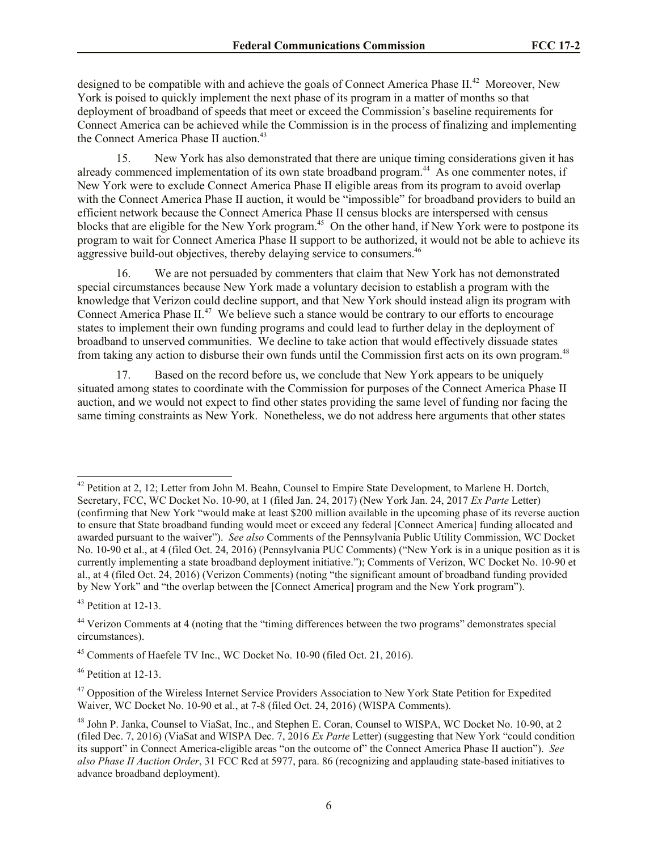designed to be compatible with and achieve the goals of Connect America Phase II.<sup>42</sup> Moreover, New York is poised to quickly implement the next phase of its program in a matter of months so that deployment of broadband of speeds that meet or exceed the Commission's baseline requirements for Connect America can be achieved while the Commission is in the process of finalizing and implementing the Connect America Phase II auction.<sup>43</sup>

15. New York has also demonstrated that there are unique timing considerations given it has already commenced implementation of its own state broadband program.<sup>44</sup> As one commenter notes, if New York were to exclude Connect America Phase II eligible areas from its program to avoid overlap with the Connect America Phase II auction, it would be "impossible" for broadband providers to build an efficient network because the Connect America Phase II census blocks are interspersed with census blocks that are eligible for the New York program.<sup>45</sup> On the other hand, if New York were to postpone its program to wait for Connect America Phase II support to be authorized, it would not be able to achieve its aggressive build-out objectives, thereby delaying service to consumers.<sup>46</sup>

16. We are not persuaded by commenters that claim that New York has not demonstrated special circumstances because New York made a voluntary decision to establish a program with the knowledge that Verizon could decline support, and that New York should instead align its program with Connect America Phase  $II^{47}$  We believe such a stance would be contrary to our efforts to encourage states to implement their own funding programs and could lead to further delay in the deployment of broadband to unserved communities. We decline to take action that would effectively dissuade states from taking any action to disburse their own funds until the Commission first acts on its own program.<sup>48</sup>

17. Based on the record before us, we conclude that New York appears to be uniquely situated among states to coordinate with the Commission for purposes of the Connect America Phase II auction, and we would not expect to find other states providing the same level of funding nor facing the same timing constraints as New York. Nonetheless, we do not address here arguments that other states

<sup>43</sup> Petition at 12-13.

<sup>&</sup>lt;sup>42</sup> Petition at 2, 12; Letter from John M. Beahn, Counsel to Empire State Development, to Marlene H. Dortch, Secretary, FCC, WC Docket No. 10-90, at 1 (filed Jan. 24, 2017) (New York Jan. 24, 2017 *Ex Parte* Letter) (confirming that New York "would make at least \$200 million available in the upcoming phase of its reverse auction to ensure that State broadband funding would meet or exceed any federal [Connect America] funding allocated and awarded pursuant to the waiver"). *See also* Comments of the Pennsylvania Public Utility Commission, WC Docket No. 10-90 et al., at 4 (filed Oct. 24, 2016) (Pennsylvania PUC Comments) ("New York is in a unique position as it is currently implementing a state broadband deployment initiative."); Comments of Verizon, WC Docket No. 10-90 et al., at 4 (filed Oct. 24, 2016) (Verizon Comments) (noting "the significant amount of broadband funding provided by New York" and "the overlap between the [Connect America] program and the New York program").

<sup>44</sup> Verizon Comments at 4 (noting that the "timing differences between the two programs" demonstrates special circumstances).

<sup>&</sup>lt;sup>45</sup> Comments of Haefele TV Inc., WC Docket No. 10-90 (filed Oct. 21, 2016).

<sup>46</sup> Petition at 12-13.

<sup>&</sup>lt;sup>47</sup> Opposition of the Wireless Internet Service Providers Association to New York State Petition for Expedited Waiver, WC Docket No. 10-90 et al., at 7-8 (filed Oct. 24, 2016) (WISPA Comments).

<sup>48</sup> John P. Janka, Counsel to ViaSat, Inc., and Stephen E. Coran, Counsel to WISPA, WC Docket No. 10-90, at 2 (filed Dec. 7, 2016) (ViaSat and WISPA Dec. 7, 2016 *Ex Parte* Letter) (suggesting that New York "could condition its support" in Connect America-eligible areas "on the outcome of" the Connect America Phase II auction"). *See also Phase II Auction Order*, 31 FCC Rcd at 5977, para. 86 (recognizing and applauding state-based initiatives to advance broadband deployment).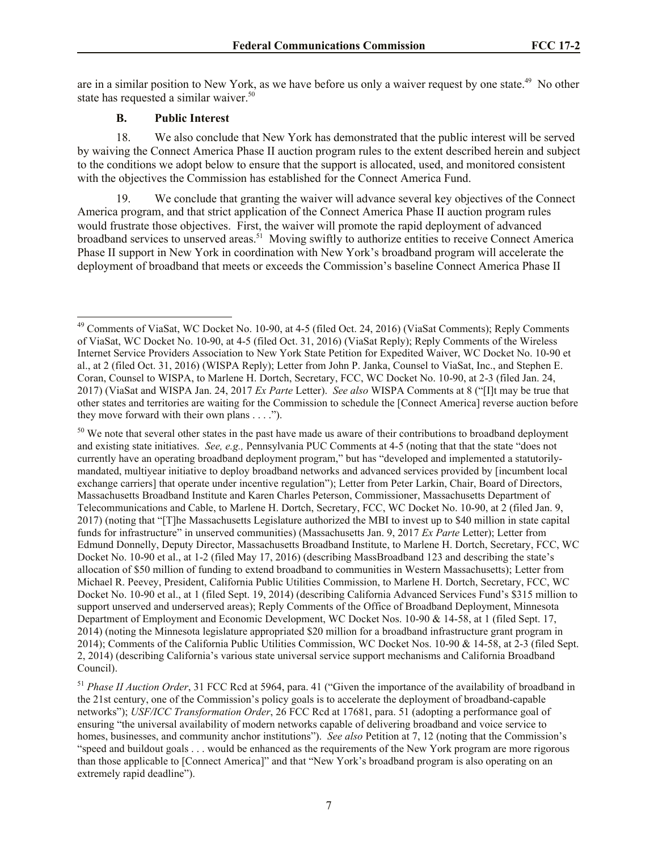are in a similar position to New York, as we have before us only a waiver request by one state.<sup>49</sup> No other state has requested a similar waiver.<sup>50</sup>

## **B. Public Interest**

l

18. We also conclude that New York has demonstrated that the public interest will be served by waiving the Connect America Phase II auction program rules to the extent described herein and subject to the conditions we adopt below to ensure that the support is allocated, used, and monitored consistent with the objectives the Commission has established for the Connect America Fund.

19. We conclude that granting the waiver will advance several key objectives of the Connect America program, and that strict application of the Connect America Phase II auction program rules would frustrate those objectives. First, the waiver will promote the rapid deployment of advanced broadband services to unserved areas.<sup>51</sup> Moving swiftly to authorize entities to receive Connect America Phase II support in New York in coordination with New York's broadband program will accelerate the deployment of broadband that meets or exceeds the Commission's baseline Connect America Phase II

<sup>&</sup>lt;sup>49</sup> Comments of ViaSat, WC Docket No. 10-90, at 4-5 (filed Oct. 24, 2016) (ViaSat Comments); Reply Comments of ViaSat, WC Docket No. 10-90, at 4-5 (filed Oct. 31, 2016) (ViaSat Reply); Reply Comments of the Wireless Internet Service Providers Association to New York State Petition for Expedited Waiver, WC Docket No. 10-90 et al., at 2 (filed Oct. 31, 2016) (WISPA Reply); Letter from John P. Janka, Counsel to ViaSat, Inc., and Stephen E. Coran, Counsel to WISPA, to Marlene H. Dortch, Secretary, FCC, WC Docket No. 10-90, at 2-3 (filed Jan. 24, 2017) (ViaSat and WISPA Jan. 24, 2017 *Ex Parte* Letter). *See also* WISPA Comments at 8 ("[I]t may be true that other states and territories are waiting for the Commission to schedule the [Connect America] reverse auction before they move forward with their own plans . . . .").

<sup>&</sup>lt;sup>50</sup> We note that several other states in the past have made us aware of their contributions to broadband deployment and existing state initiatives. *See, e.g.,* Pennsylvania PUC Comments at 4-5 (noting that that the state "does not currently have an operating broadband deployment program," but has "developed and implemented a statutorilymandated, multiyear initiative to deploy broadband networks and advanced services provided by [incumbent local exchange carriers] that operate under incentive regulation"); Letter from Peter Larkin, Chair, Board of Directors, Massachusetts Broadband Institute and Karen Charles Peterson, Commissioner, Massachusetts Department of Telecommunications and Cable, to Marlene H. Dortch, Secretary, FCC, WC Docket No. 10-90, at 2 (filed Jan. 9, 2017) (noting that "[T]he Massachusetts Legislature authorized the MBI to invest up to \$40 million in state capital funds for infrastructure" in unserved communities) (Massachusetts Jan. 9, 2017 *Ex Parte* Letter); Letter from Edmund Donnelly, Deputy Director, Massachusetts Broadband Institute, to Marlene H. Dortch, Secretary, FCC, WC Docket No. 10-90 et al., at 1-2 (filed May 17, 2016) (describing MassBroadband 123 and describing the state's allocation of \$50 million of funding to extend broadband to communities in Western Massachusetts); Letter from Michael R. Peevey, President, California Public Utilities Commission, to Marlene H. Dortch, Secretary, FCC, WC Docket No. 10-90 et al., at 1 (filed Sept. 19, 2014) (describing California Advanced Services Fund's \$315 million to support unserved and underserved areas); Reply Comments of the Office of Broadband Deployment, Minnesota Department of Employment and Economic Development, WC Docket Nos. 10-90 & 14-58, at 1 (filed Sept. 17, 2014) (noting the Minnesota legislature appropriated \$20 million for a broadband infrastructure grant program in 2014); Comments of the California Public Utilities Commission, WC Docket Nos. 10-90 & 14-58, at 2-3 (filed Sept. 2, 2014) (describing California's various state universal service support mechanisms and California Broadband Council).

<sup>51</sup> *Phase II Auction Order*, 31 FCC Rcd at 5964, para. 41 ("Given the importance of the availability of broadband in the 21st century, one of the Commission's policy goals is to accelerate the deployment of broadband-capable networks"); *USF/ICC Transformation Order*, 26 FCC Rcd at 17681, para. 51 (adopting a performance goal of ensuring "the universal availability of modern networks capable of delivering broadband and voice service to homes, businesses, and community anchor institutions"). *See also* Petition at 7, 12 (noting that the Commission's "speed and buildout goals . . . would be enhanced as the requirements of the New York program are more rigorous than those applicable to [Connect America]" and that "New York's broadband program is also operating on an extremely rapid deadline").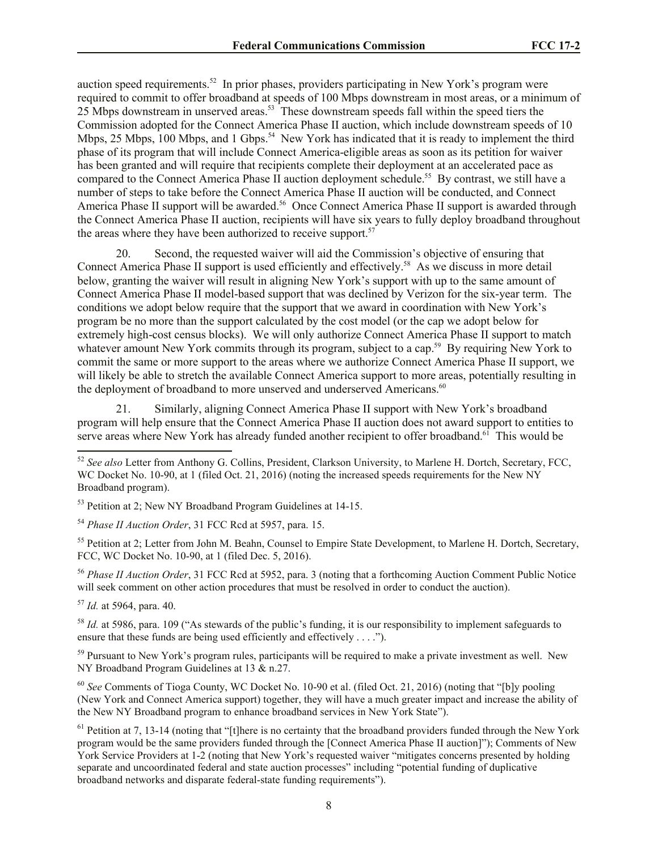auction speed requirements.<sup>52</sup> In prior phases, providers participating in New York's program were required to commit to offer broadband at speeds of 100 Mbps downstream in most areas, or a minimum of 25 Mbps downstream in unserved areas.<sup>53</sup> These downstream speeds fall within the speed tiers the Commission adopted for the Connect America Phase II auction, which include downstream speeds of 10 Mbps, 25 Mbps, 100 Mbps, and 1 Gbps.<sup>54</sup> New York has indicated that it is ready to implement the third phase of its program that will include Connect America-eligible areas as soon as its petition for waiver has been granted and will require that recipients complete their deployment at an accelerated pace as compared to the Connect America Phase II auction deployment schedule.<sup>55</sup> By contrast, we still have a number of steps to take before the Connect America Phase II auction will be conducted, and Connect America Phase II support will be awarded.<sup>56</sup> Once Connect America Phase II support is awarded through the Connect America Phase II auction, recipients will have six years to fully deploy broadband throughout the areas where they have been authorized to receive support.<sup>57</sup>

20. Second, the requested waiver will aid the Commission's objective of ensuring that Connect America Phase II support is used efficiently and effectively.<sup>58</sup> As we discuss in more detail below, granting the waiver will result in aligning New York's support with up to the same amount of Connect America Phase II model-based support that was declined by Verizon for the six-year term. The conditions we adopt below require that the support that we award in coordination with New York's program be no more than the support calculated by the cost model (or the cap we adopt below for extremely high-cost census blocks). We will only authorize Connect America Phase II support to match whatever amount New York commits through its program, subject to a cap.<sup>59</sup> By requiring New York to commit the same or more support to the areas where we authorize Connect America Phase II support, we will likely be able to stretch the available Connect America support to more areas, potentially resulting in the deployment of broadband to more unserved and underserved Americans.<sup>60</sup>

21. Similarly, aligning Connect America Phase II support with New York's broadband program will help ensure that the Connect America Phase II auction does not award support to entities to serve areas where New York has already funded another recipient to offer broadband.<sup>61</sup> This would be

<sup>53</sup> Petition at 2; New NY Broadband Program Guidelines at 14-15.

<sup>54</sup> *Phase II Auction Order*, 31 FCC Rcd at 5957, para. 15.

<sup>55</sup> Petition at 2; Letter from John M. Beahn, Counsel to Empire State Development, to Marlene H. Dortch, Secretary, FCC, WC Docket No. 10-90, at 1 (filed Dec. 5, 2016).

<sup>56</sup> *Phase II Auction Order*, 31 FCC Rcd at 5952, para. 3 (noting that a forthcoming Auction Comment Public Notice will seek comment on other action procedures that must be resolved in order to conduct the auction).

<sup>57</sup> *Id.* at 5964, para. 40.

l

<sup>58</sup> *Id.* at 5986, para. 109 ("As stewards of the public's funding, it is our responsibility to implement safeguards to ensure that these funds are being used efficiently and effectively . . . .").

<sup>59</sup> Pursuant to New York's program rules, participants will be required to make a private investment as well. New NY Broadband Program Guidelines at 13 & n.27.

<sup>60</sup> *See* Comments of Tioga County, WC Docket No. 10-90 et al. (filed Oct. 21, 2016) (noting that "[b]y pooling (New York and Connect America support) together, they will have a much greater impact and increase the ability of the New NY Broadband program to enhance broadband services in New York State").

 $61$  Petition at 7, 13-14 (noting that "[t]here is no certainty that the broadband providers funded through the New York program would be the same providers funded through the [Connect America Phase II auction]"); Comments of New York Service Providers at 1-2 (noting that New York's requested waiver "mitigates concerns presented by holding separate and uncoordinated federal and state auction processes" including "potential funding of duplicative broadband networks and disparate federal-state funding requirements").

<sup>52</sup> *See also* Letter from Anthony G. Collins, President, Clarkson University, to Marlene H. Dortch, Secretary, FCC, WC Docket No. 10-90, at 1 (filed Oct. 21, 2016) (noting the increased speeds requirements for the New NY Broadband program).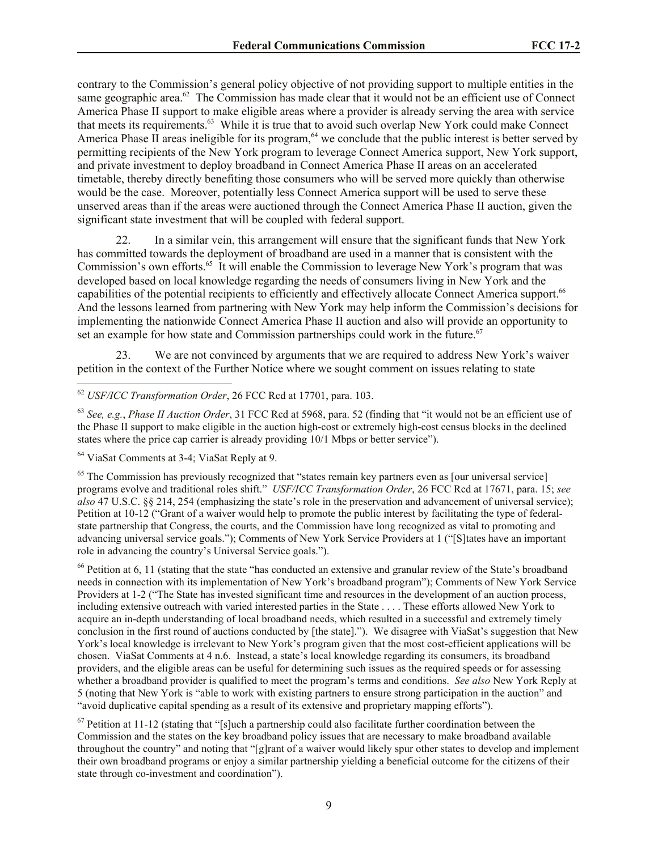contrary to the Commission's general policy objective of not providing support to multiple entities in the same geographic area.<sup>62</sup> The Commission has made clear that it would not be an efficient use of Connect America Phase II support to make eligible areas where a provider is already serving the area with service that meets its requirements.<sup>63</sup> While it is true that to avoid such overlap New York could make Connect America Phase II areas ineligible for its program,  $64$  we conclude that the public interest is better served by permitting recipients of the New York program to leverage Connect America support, New York support, and private investment to deploy broadband in Connect America Phase II areas on an accelerated timetable, thereby directly benefiting those consumers who will be served more quickly than otherwise would be the case. Moreover, potentially less Connect America support will be used to serve these unserved areas than if the areas were auctioned through the Connect America Phase II auction, given the significant state investment that will be coupled with federal support.

22. In a similar vein, this arrangement will ensure that the significant funds that New York has committed towards the deployment of broadband are used in a manner that is consistent with the Commission's own efforts.<sup>65</sup> It will enable the Commission to leverage New York's program that was developed based on local knowledge regarding the needs of consumers living in New York and the capabilities of the potential recipients to efficiently and effectively allocate Connect America support.<sup>66</sup> And the lessons learned from partnering with New York may help inform the Commission's decisions for implementing the nationwide Connect America Phase II auction and also will provide an opportunity to set an example for how state and Commission partnerships could work in the future.<sup>67</sup>

23. We are not convinced by arguments that we are required to address New York's waiver petition in the context of the Further Notice where we sought comment on issues relating to state

<sup>62</sup> *USF/ICC Transformation Order*, 26 FCC Rcd at 17701, para. 103.

<sup>63</sup> *See, e.g.*, *Phase II Auction Order*, 31 FCC Rcd at 5968, para. 52 (finding that "it would not be an efficient use of the Phase II support to make eligible in the auction high-cost or extremely high-cost census blocks in the declined states where the price cap carrier is already providing 10/1 Mbps or better service").

<sup>64</sup> ViaSat Comments at 3-4; ViaSat Reply at 9.

l

<sup>65</sup> The Commission has previously recognized that "states remain key partners even as [our universal service] programs evolve and traditional roles shift." *USF/ICC Transformation Order*, 26 FCC Rcd at 17671, para. 15; *see also* 47 U.S.C. §§ 214, 254 (emphasizing the state's role in the preservation and advancement of universal service); Petition at 10-12 ("Grant of a waiver would help to promote the public interest by facilitating the type of federalstate partnership that Congress, the courts, and the Commission have long recognized as vital to promoting and advancing universal service goals."); Comments of New York Service Providers at 1 ("[S]tates have an important role in advancing the country's Universal Service goals.").

<sup>66</sup> Petition at 6, 11 (stating that the state "has conducted an extensive and granular review of the State's broadband needs in connection with its implementation of New York's broadband program"); Comments of New York Service Providers at 1-2 ("The State has invested significant time and resources in the development of an auction process, including extensive outreach with varied interested parties in the State . . . . These efforts allowed New York to acquire an in-depth understanding of local broadband needs, which resulted in a successful and extremely timely conclusion in the first round of auctions conducted by [the state]."). We disagree with ViaSat's suggestion that New York's local knowledge is irrelevant to New York's program given that the most cost-efficient applications will be chosen. ViaSat Comments at 4 n.6. Instead, a state's local knowledge regarding its consumers, its broadband providers, and the eligible areas can be useful for determining such issues as the required speeds or for assessing whether a broadband provider is qualified to meet the program's terms and conditions. *See also* New York Reply at 5 (noting that New York is "able to work with existing partners to ensure strong participation in the auction" and "avoid duplicative capital spending as a result of its extensive and proprietary mapping efforts").

 $67$  Petition at 11-12 (stating that "[s]uch a partnership could also facilitate further coordination between the Commission and the states on the key broadband policy issues that are necessary to make broadband available throughout the country" and noting that "[g]rant of a waiver would likely spur other states to develop and implement their own broadband programs or enjoy a similar partnership yielding a beneficial outcome for the citizens of their state through co-investment and coordination").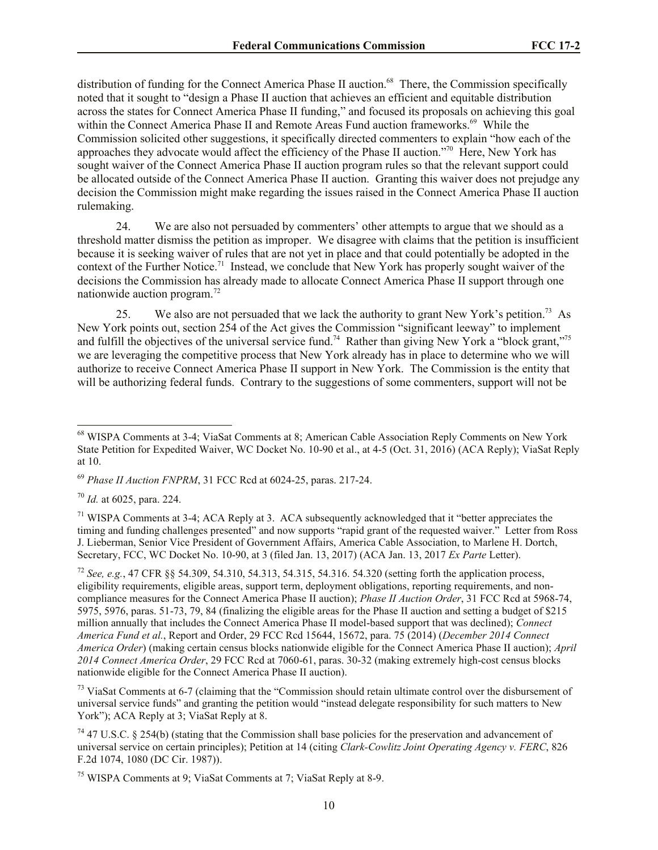distribution of funding for the Connect America Phase II auction.<sup>68</sup> There, the Commission specifically noted that it sought to "design a Phase II auction that achieves an efficient and equitable distribution across the states for Connect America Phase II funding," and focused its proposals on achieving this goal within the Connect America Phase II and Remote Areas Fund auction frameworks.<sup>69</sup> While the Commission solicited other suggestions, it specifically directed commenters to explain "how each of the approaches they advocate would affect the efficiency of the Phase II auction."<sup>70</sup> Here, New York has sought waiver of the Connect America Phase II auction program rules so that the relevant support could be allocated outside of the Connect America Phase II auction. Granting this waiver does not prejudge any decision the Commission might make regarding the issues raised in the Connect America Phase II auction rulemaking.

24. We are also not persuaded by commenters' other attempts to argue that we should as a threshold matter dismiss the petition as improper. We disagree with claims that the petition is insufficient because it is seeking waiver of rules that are not yet in place and that could potentially be adopted in the context of the Further Notice.<sup>71</sup> Instead, we conclude that New York has properly sought waiver of the decisions the Commission has already made to allocate Connect America Phase II support through one nationwide auction program.<sup>72</sup> 

25. We also are not persuaded that we lack the authority to grant New York's petition.<sup>73</sup> As New York points out, section 254 of the Act gives the Commission "significant leeway" to implement and fulfill the objectives of the universal service fund.<sup>74</sup> Rather than giving New York a "block grant,"<sup>75</sup> we are leveraging the competitive process that New York already has in place to determine who we will authorize to receive Connect America Phase II support in New York. The Commission is the entity that will be authorizing federal funds. Contrary to the suggestions of some commenters, support will not be

<sup>68</sup> WISPA Comments at 3-4; ViaSat Comments at 8; American Cable Association Reply Comments on New York State Petition for Expedited Waiver, WC Docket No. 10-90 et al., at 4-5 (Oct. 31, 2016) (ACA Reply); ViaSat Reply at 10.

<sup>69</sup> *Phase II Auction FNPRM*, 31 FCC Rcd at 6024-25, paras. 217-24.

<sup>70</sup> *Id.* at 6025, para. 224.

<sup>&</sup>lt;sup>71</sup> WISPA Comments at 3-4; ACA Reply at 3. ACA subsequently acknowledged that it "better appreciates the timing and funding challenges presented" and now supports "rapid grant of the requested waiver." Letter from Ross J. Lieberman, Senior Vice President of Government Affairs, America Cable Association, to Marlene H. Dortch, Secretary, FCC, WC Docket No. 10-90, at 3 (filed Jan. 13, 2017) (ACA Jan. 13, 2017 *Ex Parte* Letter).

<sup>72</sup> *See, e.g.*, 47 CFR §§ 54.309, 54.310, 54.313, 54.315, 54.316. 54.320 (setting forth the application process, eligibility requirements, eligible areas, support term, deployment obligations, reporting requirements, and noncompliance measures for the Connect America Phase II auction); *Phase II Auction Order*, 31 FCC Rcd at 5968-74, 5975, 5976, paras. 51-73, 79, 84 (finalizing the eligible areas for the Phase II auction and setting a budget of \$215 million annually that includes the Connect America Phase II model-based support that was declined); *Connect America Fund et al.*, Report and Order, 29 FCC Rcd 15644, 15672, para. 75 (2014) (*December 2014 Connect America Order*) (making certain census blocks nationwide eligible for the Connect America Phase II auction); *April 2014 Connect America Order*, 29 FCC Rcd at 7060-61, paras. 30-32 (making extremely high-cost census blocks nationwide eligible for the Connect America Phase II auction).

<sup>&</sup>lt;sup>73</sup> ViaSat Comments at 6-7 (claiming that the "Commission should retain ultimate control over the disbursement of universal service funds" and granting the petition would "instead delegate responsibility for such matters to New York"): ACA Reply at 3: ViaSat Reply at 8.

<sup>74</sup> 47 U.S.C. § 254(b) (stating that the Commission shall base policies for the preservation and advancement of universal service on certain principles); Petition at 14 (citing *Clark-Cowlitz Joint Operating Agency v. FERC*, 826 F.2d 1074, 1080 (DC Cir. 1987)).

<sup>75</sup> WISPA Comments at 9; ViaSat Comments at 7; ViaSat Reply at 8-9.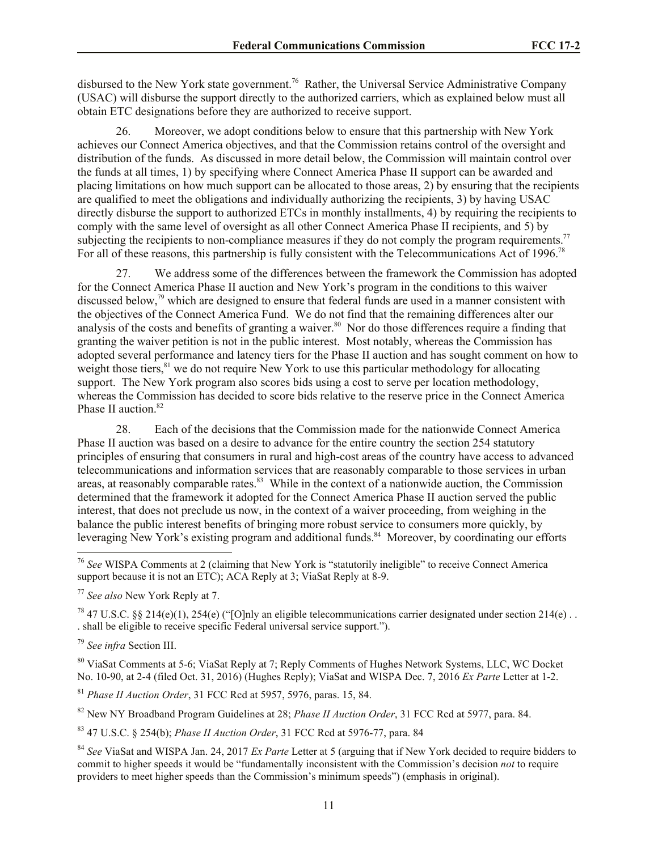disbursed to the New York state government.<sup>76</sup> Rather, the Universal Service Administrative Company (USAC) will disburse the support directly to the authorized carriers, which as explained below must all obtain ETC designations before they are authorized to receive support.

26. Moreover, we adopt conditions below to ensure that this partnership with New York achieves our Connect America objectives, and that the Commission retains control of the oversight and distribution of the funds. As discussed in more detail below, the Commission will maintain control over the funds at all times, 1) by specifying where Connect America Phase II support can be awarded and placing limitations on how much support can be allocated to those areas, 2) by ensuring that the recipients are qualified to meet the obligations and individually authorizing the recipients, 3) by having USAC directly disburse the support to authorized ETCs in monthly installments, 4) by requiring the recipients to comply with the same level of oversight as all other Connect America Phase II recipients, and 5) by subjecting the recipients to non-compliance measures if they do not comply the program requirements.<sup>77</sup> For all of these reasons, this partnership is fully consistent with the Telecommunications Act of 1996.<sup>78</sup>

27. We address some of the differences between the framework the Commission has adopted for the Connect America Phase II auction and New York's program in the conditions to this waiver discussed below,<sup>79</sup> which are designed to ensure that federal funds are used in a manner consistent with the objectives of the Connect America Fund. We do not find that the remaining differences alter our analysis of the costs and benefits of granting a waiver.<sup>80</sup> Nor do those differences require a finding that granting the waiver petition is not in the public interest. Most notably, whereas the Commission has adopted several performance and latency tiers for the Phase II auction and has sought comment on how to weight those tiers,<sup>81</sup> we do not require New York to use this particular methodology for allocating support. The New York program also scores bids using a cost to serve per location methodology, whereas the Commission has decided to score bids relative to the reserve price in the Connect America Phase II auction.<sup>82</sup>

28. Each of the decisions that the Commission made for the nationwide Connect America Phase II auction was based on a desire to advance for the entire country the section 254 statutory principles of ensuring that consumers in rural and high-cost areas of the country have access to advanced telecommunications and information services that are reasonably comparable to those services in urban areas, at reasonably comparable rates.<sup>83</sup> While in the context of a nationwide auction, the Commission determined that the framework it adopted for the Connect America Phase II auction served the public interest, that does not preclude us now, in the context of a waiver proceeding, from weighing in the balance the public interest benefits of bringing more robust service to consumers more quickly, by leveraging New York's existing program and additional funds.<sup>84</sup> Moreover, by coordinating our efforts

<sup>79</sup> *See infra* Section III.

l

<sup>80</sup> ViaSat Comments at 5-6; ViaSat Reply at 7; Reply Comments of Hughes Network Systems, LLC, WC Docket No. 10-90, at 2-4 (filed Oct. 31, 2016) (Hughes Reply); ViaSat and WISPA Dec. 7, 2016 *Ex Parte* Letter at 1-2.

<sup>81</sup> *Phase II Auction Order*, 31 FCC Rcd at 5957, 5976, paras. 15, 84.

<sup>82</sup> New NY Broadband Program Guidelines at 28; *Phase II Auction Order*, 31 FCC Rcd at 5977, para. 84.

<sup>83</sup> 47 U.S.C. § 254(b); *Phase II Auction Order*, 31 FCC Rcd at 5976-77, para. 84

<sup>84</sup> *See* ViaSat and WISPA Jan. 24, 2017 *Ex Parte* Letter at 5 (arguing that if New York decided to require bidders to commit to higher speeds it would be "fundamentally inconsistent with the Commission's decision *not* to require providers to meet higher speeds than the Commission's minimum speeds") (emphasis in original).

<sup>76</sup> *See* WISPA Comments at 2 (claiming that New York is "statutorily ineligible" to receive Connect America support because it is not an ETC); ACA Reply at 3; ViaSat Reply at 8-9.

<sup>77</sup> *See also* New York Reply at 7.

<sup>&</sup>lt;sup>78</sup> 47 U.S.C. §§ 214(e)(1), 254(e) ("[O]nly an eligible telecommunications carrier designated under section 214(e)... . shall be eligible to receive specific Federal universal service support.").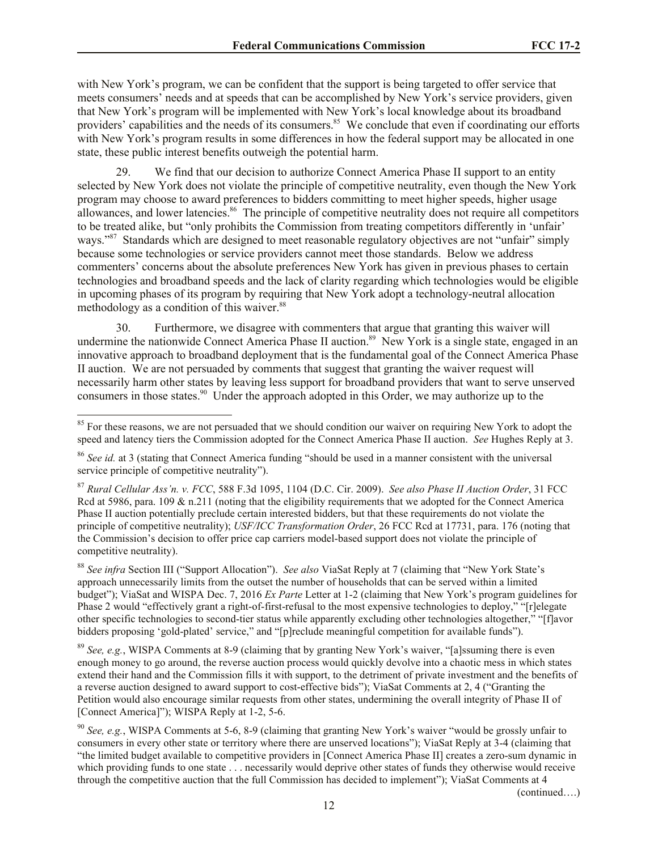with New York's program, we can be confident that the support is being targeted to offer service that meets consumers' needs and at speeds that can be accomplished by New York's service providers, given that New York's program will be implemented with New York's local knowledge about its broadband providers' capabilities and the needs of its consumers.<sup>85</sup> We conclude that even if coordinating our efforts with New York's program results in some differences in how the federal support may be allocated in one state, these public interest benefits outweigh the potential harm.

29. We find that our decision to authorize Connect America Phase II support to an entity selected by New York does not violate the principle of competitive neutrality, even though the New York program may choose to award preferences to bidders committing to meet higher speeds, higher usage allowances, and lower latencies.<sup>86</sup> The principle of competitive neutrality does not require all competitors to be treated alike, but "only prohibits the Commission from treating competitors differently in 'unfair' ways."<sup>87</sup> Standards which are designed to meet reasonable regulatory objectives are not "unfair" simply because some technologies or service providers cannot meet those standards. Below we address commenters' concerns about the absolute preferences New York has given in previous phases to certain technologies and broadband speeds and the lack of clarity regarding which technologies would be eligible in upcoming phases of its program by requiring that New York adopt a technology-neutral allocation methodology as a condition of this waiver.<sup>88</sup>

30. Furthermore, we disagree with commenters that argue that granting this waiver will undermine the nationwide Connect America Phase II auction.<sup>89</sup> New York is a single state, engaged in an innovative approach to broadband deployment that is the fundamental goal of the Connect America Phase II auction. We are not persuaded by comments that suggest that granting the waiver request will necessarily harm other states by leaving less support for broadband providers that want to serve unserved consumers in those states.<sup>90</sup> Under the approach adopted in this Order, we may authorize up to the

l

(continued….)

<sup>&</sup>lt;sup>85</sup> For these reasons, we are not persuaded that we should condition our waiver on requiring New York to adopt the speed and latency tiers the Commission adopted for the Connect America Phase II auction. *See* Hughes Reply at 3.

<sup>86</sup> *See id.* at 3 (stating that Connect America funding "should be used in a manner consistent with the universal service principle of competitive neutrality").

<sup>87</sup> *Rural Cellular Ass'n. v. FCC*, 588 F.3d 1095, 1104 (D.C. Cir. 2009). *See also Phase II Auction Order*, 31 FCC Rcd at 5986, para. 109  $\&$  n.211 (noting that the eligibility requirements that we adopted for the Connect America Phase II auction potentially preclude certain interested bidders, but that these requirements do not violate the principle of competitive neutrality); *USF/ICC Transformation Order*, 26 FCC Rcd at 17731, para. 176 (noting that the Commission's decision to offer price cap carriers model-based support does not violate the principle of competitive neutrality).

<sup>88</sup> *See infra* Section III ("Support Allocation"). *See also* ViaSat Reply at 7 (claiming that "New York State's approach unnecessarily limits from the outset the number of households that can be served within a limited budget"); ViaSat and WISPA Dec. 7, 2016 *Ex Parte* Letter at 1-2 (claiming that New York's program guidelines for Phase 2 would "effectively grant a right-of-first-refusal to the most expensive technologies to deploy," "[r]elegate other specific technologies to second-tier status while apparently excluding other technologies altogether," "[f]avor bidders proposing 'gold-plated' service," and "[p]reclude meaningful competition for available funds").

<sup>89</sup> *See, e.g.*, WISPA Comments at 8-9 (claiming that by granting New York's waiver, "[a]ssuming there is even enough money to go around, the reverse auction process would quickly devolve into a chaotic mess in which states extend their hand and the Commission fills it with support, to the detriment of private investment and the benefits of a reverse auction designed to award support to cost-effective bids"); ViaSat Comments at 2, 4 ("Granting the Petition would also encourage similar requests from other states, undermining the overall integrity of Phase II of [Connect America]"); WISPA Reply at 1-2, 5-6.

<sup>90</sup> *See, e.g.*, WISPA Comments at 5-6, 8-9 (claiming that granting New York's waiver "would be grossly unfair to consumers in every other state or territory where there are unserved locations"); ViaSat Reply at 3-4 (claiming that "the limited budget available to competitive providers in [Connect America Phase II] creates a zero-sum dynamic in which providing funds to one state . . . necessarily would deprive other states of funds they otherwise would receive through the competitive auction that the full Commission has decided to implement"); ViaSat Comments at 4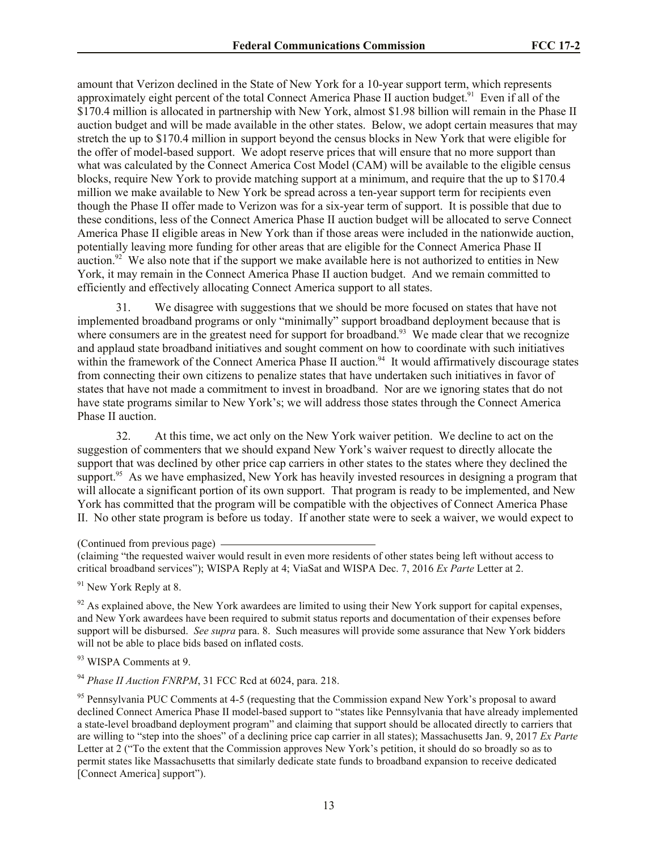amount that Verizon declined in the State of New York for a 10-year support term, which represents approximately eight percent of the total Connect America Phase II auction budget.<sup>91</sup> Even if all of the \$170.4 million is allocated in partnership with New York, almost \$1.98 billion will remain in the Phase II auction budget and will be made available in the other states. Below, we adopt certain measures that may stretch the up to \$170.4 million in support beyond the census blocks in New York that were eligible for the offer of model-based support. We adopt reserve prices that will ensure that no more support than what was calculated by the Connect America Cost Model (CAM) will be available to the eligible census blocks, require New York to provide matching support at a minimum, and require that the up to \$170.4 million we make available to New York be spread across a ten-year support term for recipients even though the Phase II offer made to Verizon was for a six-year term of support. It is possible that due to these conditions, less of the Connect America Phase II auction budget will be allocated to serve Connect America Phase II eligible areas in New York than if those areas were included in the nationwide auction, potentially leaving more funding for other areas that are eligible for the Connect America Phase II auction.<sup>92</sup> We also note that if the support we make available here is not authorized to entities in New York, it may remain in the Connect America Phase II auction budget. And we remain committed to efficiently and effectively allocating Connect America support to all states.

31. We disagree with suggestions that we should be more focused on states that have not implemented broadband programs or only "minimally" support broadband deployment because that is where consumers are in the greatest need for support for broadband.<sup>93</sup> We made clear that we recognize and applaud state broadband initiatives and sought comment on how to coordinate with such initiatives within the framework of the Connect America Phase II auction.<sup>94</sup> It would affirmatively discourage states from connecting their own citizens to penalize states that have undertaken such initiatives in favor of states that have not made a commitment to invest in broadband. Nor are we ignoring states that do not have state programs similar to New York's; we will address those states through the Connect America Phase II auction.

32. At this time, we act only on the New York waiver petition. We decline to act on the suggestion of commenters that we should expand New York's waiver request to directly allocate the support that was declined by other price cap carriers in other states to the states where they declined the support.<sup>95</sup> As we have emphasized, New York has heavily invested resources in designing a program that will allocate a significant portion of its own support. That program is ready to be implemented, and New York has committed that the program will be compatible with the objectives of Connect America Phase II. No other state program is before us today. If another state were to seek a waiver, we would expect to

(claiming "the requested waiver would result in even more residents of other states being left without access to critical broadband services"); WISPA Reply at 4; ViaSat and WISPA Dec. 7, 2016 *Ex Parte* Letter at 2.

<sup>91</sup> New York Reply at 8.

 $92$  As explained above, the New York awardees are limited to using their New York support for capital expenses, and New York awardees have been required to submit status reports and documentation of their expenses before support will be disbursed. *See supra* para. 8. Such measures will provide some assurance that New York bidders will not be able to place bids based on inflated costs.

93 WISPA Comments at 9.

<sup>94</sup> *Phase II Auction FNRPM*, 31 FCC Rcd at 6024, para. 218.

<sup>95</sup> Pennsylvania PUC Comments at 4-5 (requesting that the Commission expand New York's proposal to award declined Connect America Phase II model-based support to "states like Pennsylvania that have already implemented a state-level broadband deployment program" and claiming that support should be allocated directly to carriers that are willing to "step into the shoes" of a declining price cap carrier in all states); Massachusetts Jan. 9, 2017 *Ex Parte* Letter at 2 ("To the extent that the Commission approves New York's petition, it should do so broadly so as to permit states like Massachusetts that similarly dedicate state funds to broadband expansion to receive dedicated [Connect America] support").

<sup>(</sup>Continued from previous page)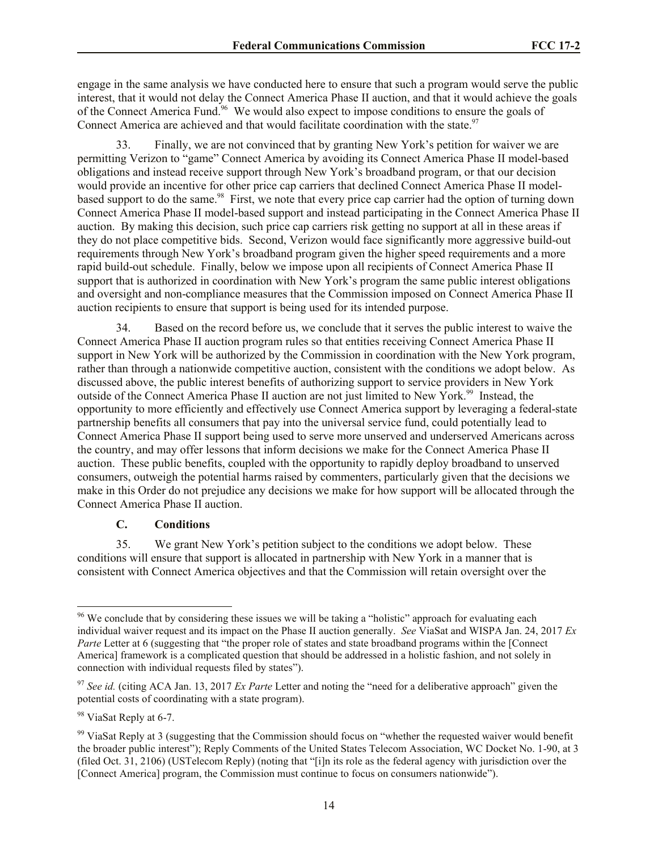engage in the same analysis we have conducted here to ensure that such a program would serve the public interest, that it would not delay the Connect America Phase II auction, and that it would achieve the goals of the Connect America Fund.<sup>96</sup> We would also expect to impose conditions to ensure the goals of Connect America are achieved and that would facilitate coordination with the state.<sup>97</sup>

33. Finally, we are not convinced that by granting New York's petition for waiver we are permitting Verizon to "game" Connect America by avoiding its Connect America Phase II model-based obligations and instead receive support through New York's broadband program, or that our decision would provide an incentive for other price cap carriers that declined Connect America Phase II modelbased support to do the same.<sup>98</sup> First, we note that every price cap carrier had the option of turning down Connect America Phase II model-based support and instead participating in the Connect America Phase II auction. By making this decision, such price cap carriers risk getting no support at all in these areas if they do not place competitive bids. Second, Verizon would face significantly more aggressive build-out requirements through New York's broadband program given the higher speed requirements and a more rapid build-out schedule. Finally, below we impose upon all recipients of Connect America Phase II support that is authorized in coordination with New York's program the same public interest obligations and oversight and non-compliance measures that the Commission imposed on Connect America Phase II auction recipients to ensure that support is being used for its intended purpose.

34. Based on the record before us, we conclude that it serves the public interest to waive the Connect America Phase II auction program rules so that entities receiving Connect America Phase II support in New York will be authorized by the Commission in coordination with the New York program, rather than through a nationwide competitive auction, consistent with the conditions we adopt below. As discussed above, the public interest benefits of authorizing support to service providers in New York outside of the Connect America Phase II auction are not just limited to New York.<sup>99</sup> Instead, the opportunity to more efficiently and effectively use Connect America support by leveraging a federal-state partnership benefits all consumers that pay into the universal service fund, could potentially lead to Connect America Phase II support being used to serve more unserved and underserved Americans across the country, and may offer lessons that inform decisions we make for the Connect America Phase II auction. These public benefits, coupled with the opportunity to rapidly deploy broadband to unserved consumers, outweigh the potential harms raised by commenters, particularly given that the decisions we make in this Order do not prejudice any decisions we make for how support will be allocated through the Connect America Phase II auction.

## **C. Conditions**

35. We grant New York's petition subject to the conditions we adopt below. These conditions will ensure that support is allocated in partnership with New York in a manner that is consistent with Connect America objectives and that the Commission will retain oversight over the

<sup>&</sup>lt;sup>96</sup> We conclude that by considering these issues we will be taking a "holistic" approach for evaluating each individual waiver request and its impact on the Phase II auction generally. *See* ViaSat and WISPA Jan. 24, 2017 *Ex Parte* Letter at 6 (suggesting that "the proper role of states and state broadband programs within the [Connect America] framework is a complicated question that should be addressed in a holistic fashion, and not solely in connection with individual requests filed by states").

<sup>97</sup> *See id.* (citing ACA Jan. 13, 2017 *Ex Parte* Letter and noting the "need for a deliberative approach" given the potential costs of coordinating with a state program).

<sup>&</sup>lt;sup>98</sup> ViaSat Reply at 6-7.

 $99$  ViaSat Reply at 3 (suggesting that the Commission should focus on "whether the requested waiver would benefit the broader public interest"); Reply Comments of the United States Telecom Association, WC Docket No. 1-90, at 3 (filed Oct. 31, 2106) (USTelecom Reply) (noting that "[i]n its role as the federal agency with jurisdiction over the [Connect America] program, the Commission must continue to focus on consumers nationwide").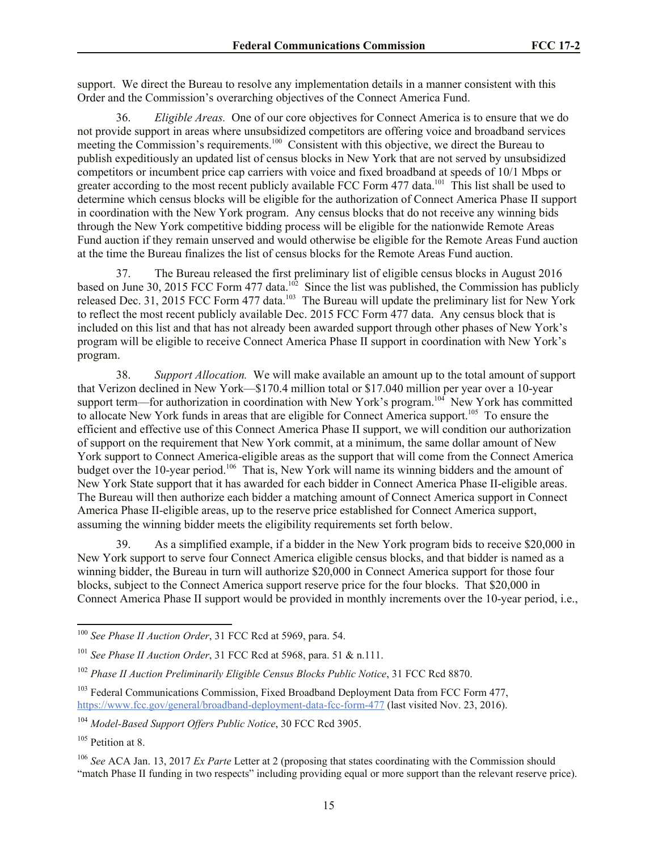support. We direct the Bureau to resolve any implementation details in a manner consistent with this Order and the Commission's overarching objectives of the Connect America Fund.

36. *Eligible Areas.* One of our core objectives for Connect America is to ensure that we do not provide support in areas where unsubsidized competitors are offering voice and broadband services meeting the Commission's requirements.<sup>100</sup> Consistent with this objective, we direct the Bureau to publish expeditiously an updated list of census blocks in New York that are not served by unsubsidized competitors or incumbent price cap carriers with voice and fixed broadband at speeds of 10/1 Mbps or greater according to the most recent publicly available FCC Form 477 data.<sup>101</sup> This list shall be used to determine which census blocks will be eligible for the authorization of Connect America Phase II support in coordination with the New York program. Any census blocks that do not receive any winning bids through the New York competitive bidding process will be eligible for the nationwide Remote Areas Fund auction if they remain unserved and would otherwise be eligible for the Remote Areas Fund auction at the time the Bureau finalizes the list of census blocks for the Remote Areas Fund auction.

37. The Bureau released the first preliminary list of eligible census blocks in August 2016 based on June 30, 2015 FCC Form 477 data.<sup>102</sup> Since the list was published, the Commission has publicly released Dec. 31, 2015 FCC Form 477 data.<sup>103</sup> The Bureau will update the preliminary list for New York to reflect the most recent publicly available Dec. 2015 FCC Form 477 data. Any census block that is included on this list and that has not already been awarded support through other phases of New York's program will be eligible to receive Connect America Phase II support in coordination with New York's program.

38. *Support Allocation.* We will make available an amount up to the total amount of support that Verizon declined in New York—\$170.4 million total or \$17.040 million per year over a 10-year support term—for authorization in coordination with New York's program.<sup>104</sup> New York has committed to allocate New York funds in areas that are eligible for Connect America support.<sup>105</sup> To ensure the efficient and effective use of this Connect America Phase II support, we will condition our authorization of support on the requirement that New York commit, at a minimum, the same dollar amount of New York support to Connect America-eligible areas as the support that will come from the Connect America budget over the 10-year period.<sup>106</sup> That is, New York will name its winning bidders and the amount of New York State support that it has awarded for each bidder in Connect America Phase II-eligible areas. The Bureau will then authorize each bidder a matching amount of Connect America support in Connect America Phase II-eligible areas, up to the reserve price established for Connect America support, assuming the winning bidder meets the eligibility requirements set forth below.

39. As a simplified example, if a bidder in the New York program bids to receive \$20,000 in New York support to serve four Connect America eligible census blocks, and that bidder is named as a winning bidder, the Bureau in turn will authorize \$20,000 in Connect America support for those four blocks, subject to the Connect America support reserve price for the four blocks. That \$20,000 in Connect America Phase II support would be provided in monthly increments over the 10-year period, i.e.,

<sup>100</sup> *See Phase II Auction Order*, 31 FCC Rcd at 5969, para. 54.

<sup>101</sup> *See Phase II Auction Order*, 31 FCC Rcd at 5968, para. 51 & n.111.

<sup>102</sup> *Phase II Auction Preliminarily Eligible Census Blocks Public Notice*, 31 FCC Rcd 8870.

<sup>&</sup>lt;sup>103</sup> Federal Communications Commission, Fixed Broadband Deployment Data from FCC Form 477, https://www.fcc.gov/general/broadband-deployment-data-fcc-form-477 (last visited Nov. 23, 2016).

<sup>104</sup> *Model-Based Support Offers Public Notice*, 30 FCC Rcd 3905.

<sup>&</sup>lt;sup>105</sup> Petition at 8.

<sup>106</sup> *See* ACA Jan. 13, 2017 *Ex Parte* Letter at 2 (proposing that states coordinating with the Commission should "match Phase II funding in two respects" including providing equal or more support than the relevant reserve price).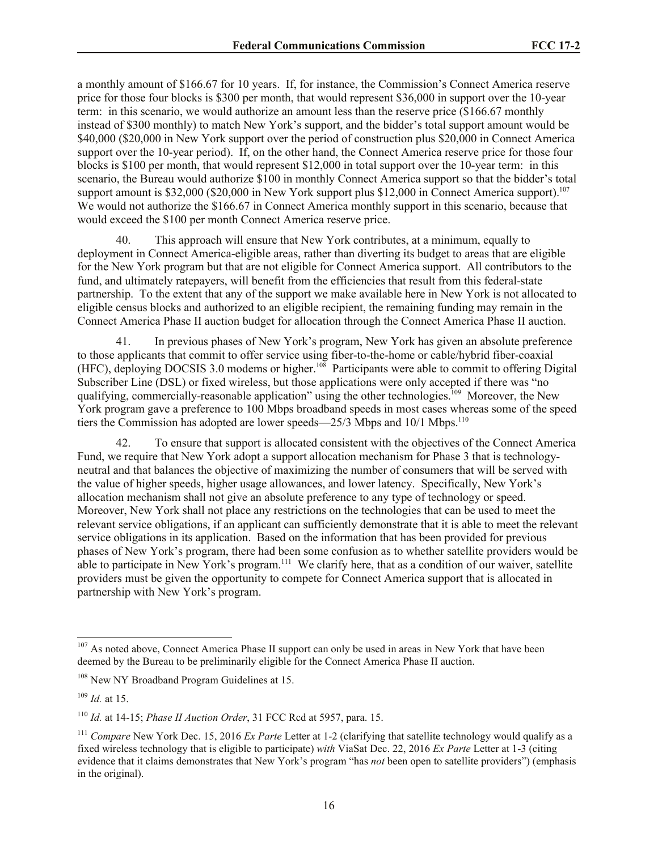a monthly amount of \$166.67 for 10 years. If, for instance, the Commission's Connect America reserve price for those four blocks is \$300 per month, that would represent \$36,000 in support over the 10-year term: in this scenario, we would authorize an amount less than the reserve price (\$166.67 monthly instead of \$300 monthly) to match New York's support, and the bidder's total support amount would be \$40,000 (\$20,000 in New York support over the period of construction plus \$20,000 in Connect America support over the 10-year period). If, on the other hand, the Connect America reserve price for those four blocks is \$100 per month, that would represent \$12,000 in total support over the 10-year term: in this scenario, the Bureau would authorize \$100 in monthly Connect America support so that the bidder's total support amount is \$32,000 (\$20,000 in New York support plus \$12,000 in Connect America support).<sup>107</sup> We would not authorize the \$166.67 in Connect America monthly support in this scenario, because that would exceed the \$100 per month Connect America reserve price.

40. This approach will ensure that New York contributes, at a minimum, equally to deployment in Connect America-eligible areas, rather than diverting its budget to areas that are eligible for the New York program but that are not eligible for Connect America support. All contributors to the fund, and ultimately ratepayers, will benefit from the efficiencies that result from this federal-state partnership. To the extent that any of the support we make available here in New York is not allocated to eligible census blocks and authorized to an eligible recipient, the remaining funding may remain in the Connect America Phase II auction budget for allocation through the Connect America Phase II auction.

41. In previous phases of New York's program, New York has given an absolute preference to those applicants that commit to offer service using fiber-to-the-home or cable/hybrid fiber-coaxial (HFC), deploying DOCSIS 3.0 modems or higher.<sup>108</sup> Participants were able to commit to offering Digital Subscriber Line (DSL) or fixed wireless, but those applications were only accepted if there was "no qualifying, commercially-reasonable application" using the other technologies.<sup>109</sup> Moreover, the New York program gave a preference to 100 Mbps broadband speeds in most cases whereas some of the speed tiers the Commission has adopted are lower speeds—25/3 Mbps and 10/1 Mbps.<sup>110</sup>

42. To ensure that support is allocated consistent with the objectives of the Connect America Fund, we require that New York adopt a support allocation mechanism for Phase 3 that is technologyneutral and that balances the objective of maximizing the number of consumers that will be served with the value of higher speeds, higher usage allowances, and lower latency. Specifically, New York's allocation mechanism shall not give an absolute preference to any type of technology or speed. Moreover, New York shall not place any restrictions on the technologies that can be used to meet the relevant service obligations, if an applicant can sufficiently demonstrate that it is able to meet the relevant service obligations in its application. Based on the information that has been provided for previous phases of New York's program, there had been some confusion as to whether satellite providers would be able to participate in New York's program.<sup>111</sup> We clarify here, that as a condition of our waiver, satellite providers must be given the opportunity to compete for Connect America support that is allocated in partnership with New York's program.

<sup>&</sup>lt;sup>107</sup> As noted above, Connect America Phase II support can only be used in areas in New York that have been deemed by the Bureau to be preliminarily eligible for the Connect America Phase II auction.

<sup>&</sup>lt;sup>108</sup> New NY Broadband Program Guidelines at 15.

<sup>109</sup> *Id.* at 15.

<sup>110</sup> *Id.* at 14-15; *Phase II Auction Order*, 31 FCC Rcd at 5957, para. 15.

<sup>111</sup> *Compare* New York Dec. 15, 2016 *Ex Parte* Letter at 1-2 (clarifying that satellite technology would qualify as a fixed wireless technology that is eligible to participate) *with* ViaSat Dec. 22, 2016 *Ex Parte* Letter at 1-3 (citing evidence that it claims demonstrates that New York's program "has *not* been open to satellite providers") (emphasis in the original).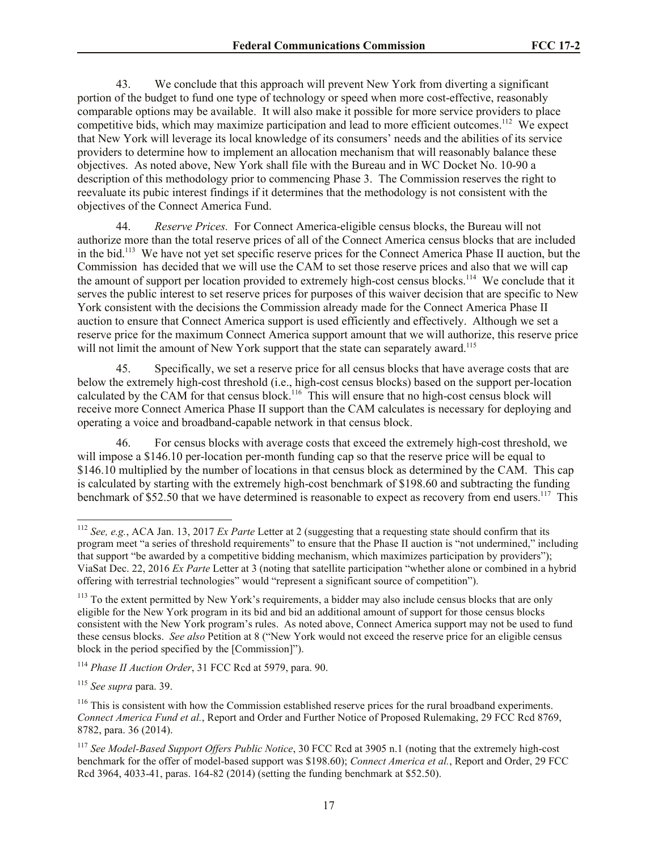43. We conclude that this approach will prevent New York from diverting a significant portion of the budget to fund one type of technology or speed when more cost-effective, reasonably comparable options may be available. It will also make it possible for more service providers to place competitive bids, which may maximize participation and lead to more efficient outcomes.<sup>112</sup> We expect that New York will leverage its local knowledge of its consumers' needs and the abilities of its service providers to determine how to implement an allocation mechanism that will reasonably balance these objectives. As noted above, New York shall file with the Bureau and in WC Docket No. 10-90 a description of this methodology prior to commencing Phase 3. The Commission reserves the right to reevaluate its pubic interest findings if it determines that the methodology is not consistent with the objectives of the Connect America Fund.

44. *Reserve Prices.* For Connect America-eligible census blocks, the Bureau will not authorize more than the total reserve prices of all of the Connect America census blocks that are included in the bid.<sup>113</sup> We have not yet set specific reserve prices for the Connect America Phase II auction, but the Commission has decided that we will use the CAM to set those reserve prices and also that we will cap the amount of support per location provided to extremely high-cost census blocks.<sup>114</sup> We conclude that it serves the public interest to set reserve prices for purposes of this waiver decision that are specific to New York consistent with the decisions the Commission already made for the Connect America Phase II auction to ensure that Connect America support is used efficiently and effectively. Although we set a reserve price for the maximum Connect America support amount that we will authorize, this reserve price will not limit the amount of New York support that the state can separately award.<sup>115</sup>

45. Specifically, we set a reserve price for all census blocks that have average costs that are below the extremely high-cost threshold (i.e., high-cost census blocks) based on the support per-location calculated by the CAM for that census block.<sup>116</sup> This will ensure that no high-cost census block will receive more Connect America Phase II support than the CAM calculates is necessary for deploying and operating a voice and broadband-capable network in that census block.

46. For census blocks with average costs that exceed the extremely high-cost threshold, we will impose a \$146.10 per-location per-month funding cap so that the reserve price will be equal to \$146.10 multiplied by the number of locations in that census block as determined by the CAM. This cap is calculated by starting with the extremely high-cost benchmark of \$198.60 and subtracting the funding benchmark of \$52.50 that we have determined is reasonable to expect as recovery from end users.<sup>117</sup> This

<sup>112</sup> *See, e.g.*, ACA Jan. 13, 2017 *Ex Parte* Letter at 2 (suggesting that a requesting state should confirm that its program meet "a series of threshold requirements" to ensure that the Phase II auction is "not undermined," including that support "be awarded by a competitive bidding mechanism, which maximizes participation by providers"); ViaSat Dec. 22, 2016 *Ex Parte* Letter at 3 (noting that satellite participation "whether alone or combined in a hybrid offering with terrestrial technologies" would "represent a significant source of competition").

<sup>&</sup>lt;sup>113</sup> To the extent permitted by New York's requirements, a bidder may also include census blocks that are only eligible for the New York program in its bid and bid an additional amount of support for those census blocks consistent with the New York program's rules. As noted above, Connect America support may not be used to fund these census blocks. *See also* Petition at 8 ("New York would not exceed the reserve price for an eligible census block in the period specified by the [Commission]").

<sup>114</sup> *Phase II Auction Order*, 31 FCC Rcd at 5979, para. 90.

<sup>115</sup> *See supra* para. 39.

<sup>&</sup>lt;sup>116</sup> This is consistent with how the Commission established reserve prices for the rural broadband experiments. *Connect America Fund et al.*, Report and Order and Further Notice of Proposed Rulemaking, 29 FCC Rcd 8769, 8782, para. 36 (2014).

<sup>117</sup> *See Model-Based Support Offers Public Notice*, 30 FCC Rcd at 3905 n.1 (noting that the extremely high-cost benchmark for the offer of model-based support was \$198.60); *Connect America et al.*, Report and Order, 29 FCC Rcd 3964, 4033-41, paras. 164-82 (2014) (setting the funding benchmark at \$52.50).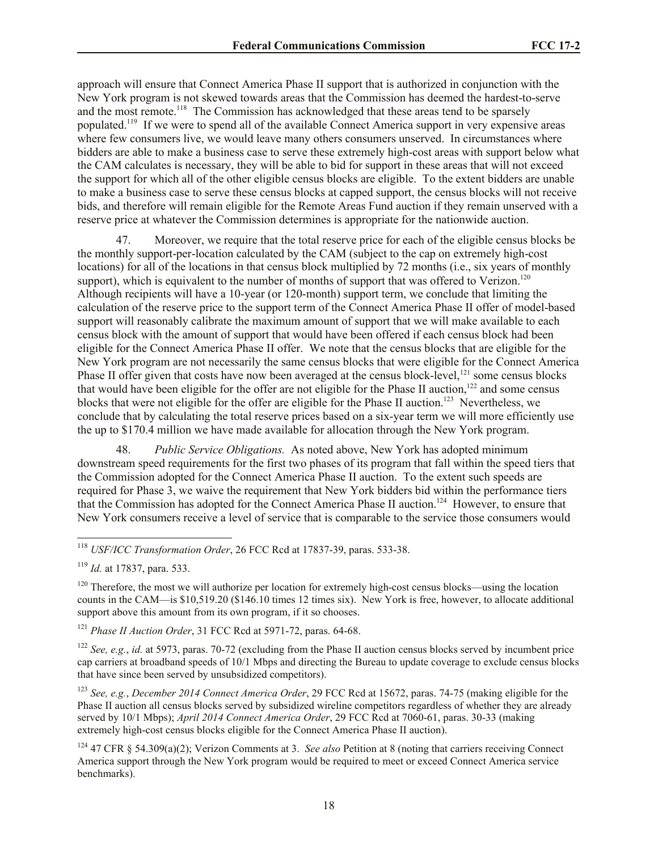approach will ensure that Connect America Phase II support that is authorized in conjunction with the New York program is not skewed towards areas that the Commission has deemed the hardest-to-serve and the most remote.<sup>118</sup> The Commission has acknowledged that these areas tend to be sparsely populated.<sup>119</sup> If we were to spend all of the available Connect America support in very expensive areas where few consumers live, we would leave many others consumers unserved. In circumstances where bidders are able to make a business case to serve these extremely high-cost areas with support below what the CAM calculates is necessary, they will be able to bid for support in these areas that will not exceed the support for which all of the other eligible census blocks are eligible. To the extent bidders are unable to make a business case to serve these census blocks at capped support, the census blocks will not receive bids, and therefore will remain eligible for the Remote Areas Fund auction if they remain unserved with a reserve price at whatever the Commission determines is appropriate for the nationwide auction.

47. Moreover, we require that the total reserve price for each of the eligible census blocks be the monthly support-per-location calculated by the CAM (subject to the cap on extremely high-cost locations) for all of the locations in that census block multiplied by 72 months (i.e., six years of monthly support), which is equivalent to the number of months of support that was offered to Verizon.<sup>120</sup> Although recipients will have a 10-year (or 120-month) support term, we conclude that limiting the calculation of the reserve price to the support term of the Connect America Phase II offer of model-based support will reasonably calibrate the maximum amount of support that we will make available to each census block with the amount of support that would have been offered if each census block had been eligible for the Connect America Phase II offer. We note that the census blocks that are eligible for the New York program are not necessarily the same census blocks that were eligible for the Connect America Phase II offer given that costs have now been averaged at the census block-level,<sup>121</sup> some census blocks that would have been eligible for the offer are not eligible for the Phase II auction,<sup>122</sup> and some census blocks that were not eligible for the offer are eligible for the Phase II auction.<sup>123</sup> Nevertheless, we conclude that by calculating the total reserve prices based on a six-year term we will more efficiently use the up to \$170.4 million we have made available for allocation through the New York program.

48. *Public Service Obligations.* As noted above, New York has adopted minimum downstream speed requirements for the first two phases of its program that fall within the speed tiers that the Commission adopted for the Connect America Phase II auction. To the extent such speeds are required for Phase 3, we waive the requirement that New York bidders bid within the performance tiers that the Commission has adopted for the Connect America Phase II auction.<sup>124</sup> However, to ensure that New York consumers receive a level of service that is comparable to the service those consumers would

<sup>118</sup> *USF/ICC Transformation Order*, 26 FCC Rcd at 17837-39, paras. 533-38.

<sup>119</sup> *Id.* at 17837, para. 533.

l

<sup>120</sup> Therefore, the most we will authorize per location for extremely high-cost census blocks—using the location counts in the CAM—is \$10,519.20 (\$146.10 times 12 times six). New York is free, however, to allocate additional support above this amount from its own program, if it so chooses.

<sup>121</sup> *Phase II Auction Order*, 31 FCC Rcd at 5971-72, paras. 64-68.

<sup>122</sup> *See, e.g.*, *id.* at 5973, paras. 70-72 (excluding from the Phase II auction census blocks served by incumbent price cap carriers at broadband speeds of 10/1 Mbps and directing the Bureau to update coverage to exclude census blocks that have since been served by unsubsidized competitors).

<sup>123</sup> *See, e.g.*, *December 2014 Connect America Order*, 29 FCC Rcd at 15672, paras. 74-75 (making eligible for the Phase II auction all census blocks served by subsidized wireline competitors regardless of whether they are already served by 10/1 Mbps); *April 2014 Connect America Order*, 29 FCC Rcd at 7060-61, paras. 30-33 (making extremely high-cost census blocks eligible for the Connect America Phase II auction).

<sup>124</sup> 47 CFR § 54.309(a)(2); Verizon Comments at 3. *See also* Petition at 8 (noting that carriers receiving Connect America support through the New York program would be required to meet or exceed Connect America service benchmarks).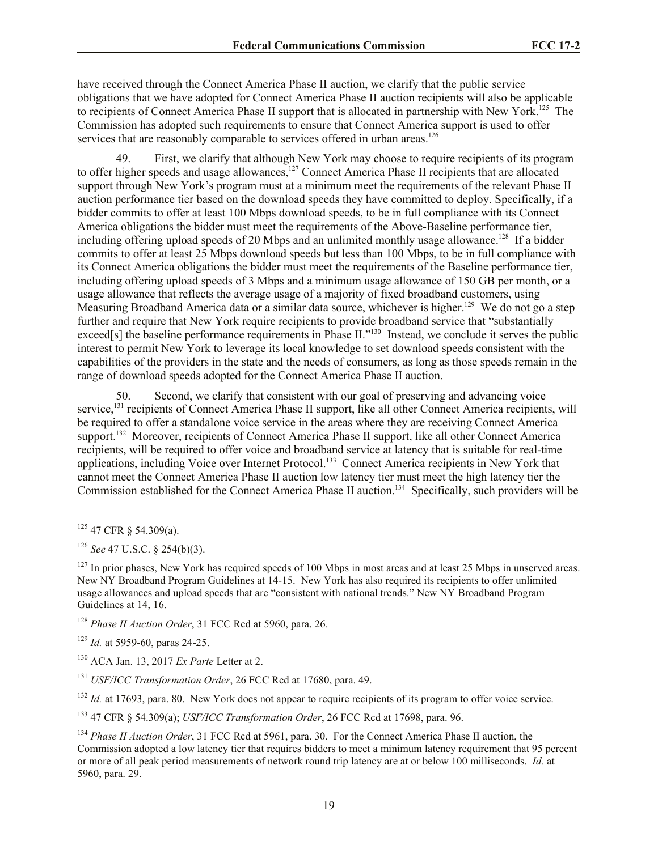have received through the Connect America Phase II auction, we clarify that the public service obligations that we have adopted for Connect America Phase II auction recipients will also be applicable to recipients of Connect America Phase II support that is allocated in partnership with New York.<sup>125</sup> The Commission has adopted such requirements to ensure that Connect America support is used to offer services that are reasonably comparable to services offered in urban areas.<sup>126</sup>

49. First, we clarify that although New York may choose to require recipients of its program to offer higher speeds and usage allowances,<sup>127</sup> Connect America Phase II recipients that are allocated support through New York's program must at a minimum meet the requirements of the relevant Phase II auction performance tier based on the download speeds they have committed to deploy. Specifically, if a bidder commits to offer at least 100 Mbps download speeds, to be in full compliance with its Connect America obligations the bidder must meet the requirements of the Above-Baseline performance tier, including offering upload speeds of 20 Mbps and an unlimited monthly usage allowance.<sup>128</sup> If a bidder commits to offer at least 25 Mbps download speeds but less than 100 Mbps, to be in full compliance with its Connect America obligations the bidder must meet the requirements of the Baseline performance tier, including offering upload speeds of 3 Mbps and a minimum usage allowance of 150 GB per month, or a usage allowance that reflects the average usage of a majority of fixed broadband customers, using Measuring Broadband America data or a similar data source, whichever is higher.<sup>129</sup> We do not go a step further and require that New York require recipients to provide broadband service that "substantially exceed[s] the baseline performance requirements in Phase II."<sup>130</sup> Instead, we conclude it serves the public interest to permit New York to leverage its local knowledge to set download speeds consistent with the capabilities of the providers in the state and the needs of consumers, as long as those speeds remain in the range of download speeds adopted for the Connect America Phase II auction.

50. Second, we clarify that consistent with our goal of preserving and advancing voice service,<sup>131</sup> recipients of Connect America Phase II support, like all other Connect America recipients, will be required to offer a standalone voice service in the areas where they are receiving Connect America support.<sup>132</sup> Moreover, recipients of Connect America Phase II support, like all other Connect America recipients, will be required to offer voice and broadband service at latency that is suitable for real-time applications, including Voice over Internet Protocol.<sup>133</sup> Connect America recipients in New York that cannot meet the Connect America Phase II auction low latency tier must meet the high latency tier the Commission established for the Connect America Phase II auction.<sup>134</sup> Specifically, such providers will be

l

<sup>128</sup> *Phase II Auction Order*, 31 FCC Rcd at 5960, para. 26.

<sup>129</sup> *Id.* at 5959-60, paras 24-25.

<sup>132</sup> *Id.* at 17693, para. 80. New York does not appear to require recipients of its program to offer voice service.

<sup>133</sup> 47 CFR § 54.309(a); *USF/ICC Transformation Order*, 26 FCC Rcd at 17698, para. 96.

 $125$  47 CFR § 54.309(a).

<sup>126</sup> *See* 47 U.S.C. § 254(b)(3).

 $127$  In prior phases, New York has required speeds of 100 Mbps in most areas and at least 25 Mbps in unserved areas. New NY Broadband Program Guidelines at 14-15. New York has also required its recipients to offer unlimited usage allowances and upload speeds that are "consistent with national trends." New NY Broadband Program Guidelines at 14, 16.

<sup>130</sup> ACA Jan. 13, 2017 *Ex Parte* Letter at 2.

<sup>131</sup> *USF/ICC Transformation Order*, 26 FCC Rcd at 17680, para. 49.

<sup>134</sup> *Phase II Auction Order*, 31 FCC Rcd at 5961, para. 30. For the Connect America Phase II auction, the Commission adopted a low latency tier that requires bidders to meet a minimum latency requirement that 95 percent or more of all peak period measurements of network round trip latency are at or below 100 milliseconds. *Id.* at 5960, para. 29.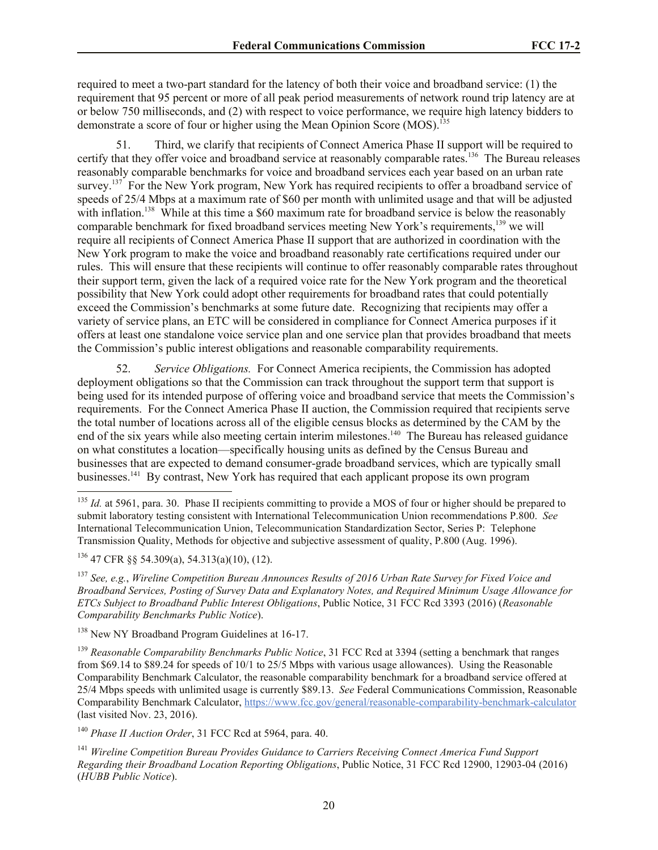required to meet a two-part standard for the latency of both their voice and broadband service: (1) the requirement that 95 percent or more of all peak period measurements of network round trip latency are at or below 750 milliseconds, and (2) with respect to voice performance, we require high latency bidders to demonstrate a score of four or higher using the Mean Opinion Score (MOS).<sup>135</sup>

51. Third, we clarify that recipients of Connect America Phase II support will be required to certify that they offer voice and broadband service at reasonably comparable rates.<sup>136</sup> The Bureau releases reasonably comparable benchmarks for voice and broadband services each year based on an urban rate survey.<sup>137</sup> For the New York program, New York has required recipients to offer a broadband service of speeds of 25/4 Mbps at a maximum rate of \$60 per month with unlimited usage and that will be adjusted with inflation.<sup>138</sup> While at this time a \$60 maximum rate for broadband service is below the reasonably comparable benchmark for fixed broadband services meeting New York's requirements,<sup>139</sup> we will require all recipients of Connect America Phase II support that are authorized in coordination with the New York program to make the voice and broadband reasonably rate certifications required under our rules. This will ensure that these recipients will continue to offer reasonably comparable rates throughout their support term, given the lack of a required voice rate for the New York program and the theoretical possibility that New York could adopt other requirements for broadband rates that could potentially exceed the Commission's benchmarks at some future date. Recognizing that recipients may offer a variety of service plans, an ETC will be considered in compliance for Connect America purposes if it offers at least one standalone voice service plan and one service plan that provides broadband that meets the Commission's public interest obligations and reasonable comparability requirements.

52. *Service Obligations.* For Connect America recipients, the Commission has adopted deployment obligations so that the Commission can track throughout the support term that support is being used for its intended purpose of offering voice and broadband service that meets the Commission's requirements. For the Connect America Phase II auction, the Commission required that recipients serve the total number of locations across all of the eligible census blocks as determined by the CAM by the end of the six years while also meeting certain interim milestones.<sup>140</sup> The Bureau has released guidance on what constitutes a location—specifically housing units as defined by the Census Bureau and businesses that are expected to demand consumer-grade broadband services, which are typically small businesses.<sup>141</sup> By contrast, New York has required that each applicant propose its own program

l

<sup>138</sup> New NY Broadband Program Guidelines at 16-17.

<sup>139</sup> *Reasonable Comparability Benchmarks Public Notice*, 31 FCC Rcd at 3394 (setting a benchmark that ranges from \$69.14 to \$89.24 for speeds of 10/1 to 25/5 Mbps with various usage allowances). Using the Reasonable Comparability Benchmark Calculator, the reasonable comparability benchmark for a broadband service offered at 25/4 Mbps speeds with unlimited usage is currently \$89.13. *See* Federal Communications Commission, Reasonable Comparability Benchmark Calculator, https://www.fcc.gov/general/reasonable-comparability-benchmark-calculator (last visited Nov. 23, 2016).

<sup>140</sup> *Phase II Auction Order*, 31 FCC Rcd at 5964, para. 40.

<sup>&</sup>lt;sup>135</sup> *Id.* at 5961, para. 30. Phase II recipients committing to provide a MOS of four or higher should be prepared to submit laboratory testing consistent with International Telecommunication Union recommendations P.800. *See* International Telecommunication Union, Telecommunication Standardization Sector, Series P: Telephone Transmission Quality, Methods for objective and subjective assessment of quality, P.800 (Aug. 1996).

<sup>136</sup> 47 CFR §§ 54.309(a), 54.313(a)(10), (12).

<sup>137</sup> *See, e.g.*, *Wireline Competition Bureau Announces Results of 2016 Urban Rate Survey for Fixed Voice and Broadband Services, Posting of Survey Data and Explanatory Notes, and Required Minimum Usage Allowance for ETCs Subject to Broadband Public Interest Obligations*, Public Notice, 31 FCC Rcd 3393 (2016) (*Reasonable Comparability Benchmarks Public Notice*).

<sup>141</sup> *Wireline Competition Bureau Provides Guidance to Carriers Receiving Connect America Fund Support Regarding their Broadband Location Reporting Obligations*, Public Notice, 31 FCC Rcd 12900, 12903-04 (2016) (*HUBB Public Notice*).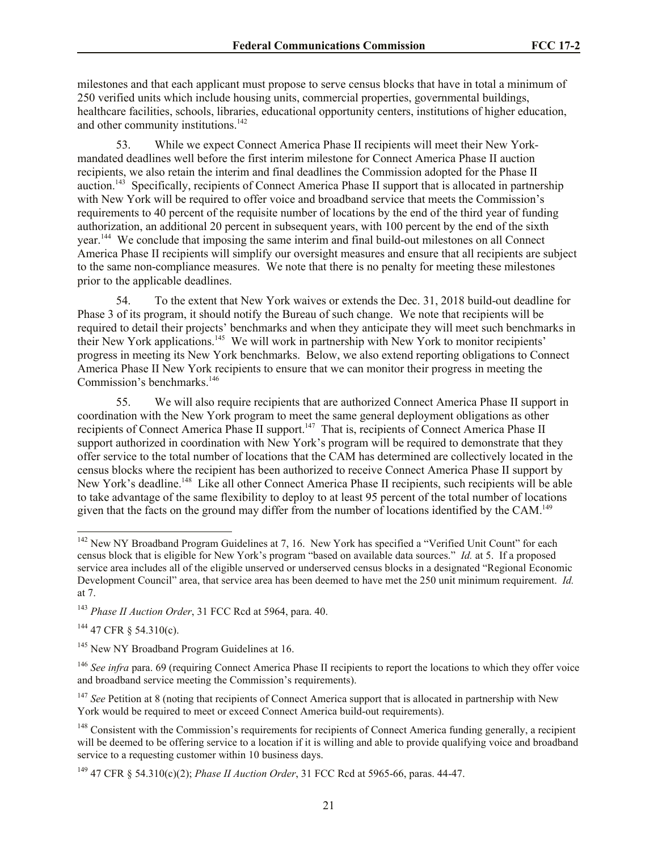milestones and that each applicant must propose to serve census blocks that have in total a minimum of 250 verified units which include housing units, commercial properties, governmental buildings, healthcare facilities, schools, libraries, educational opportunity centers, institutions of higher education, and other community institutions.<sup>142</sup>

53. While we expect Connect America Phase II recipients will meet their New Yorkmandated deadlines well before the first interim milestone for Connect America Phase II auction recipients, we also retain the interim and final deadlines the Commission adopted for the Phase II auction.<sup>143</sup> Specifically, recipients of Connect America Phase II support that is allocated in partnership with New York will be required to offer voice and broadband service that meets the Commission's requirements to 40 percent of the requisite number of locations by the end of the third year of funding authorization, an additional 20 percent in subsequent years, with 100 percent by the end of the sixth year.<sup>144</sup> We conclude that imposing the same interim and final build-out milestones on all Connect America Phase II recipients will simplify our oversight measures and ensure that all recipients are subject to the same non-compliance measures. We note that there is no penalty for meeting these milestones prior to the applicable deadlines.

54. To the extent that New York waives or extends the Dec. 31, 2018 build-out deadline for Phase 3 of its program, it should notify the Bureau of such change. We note that recipients will be required to detail their projects' benchmarks and when they anticipate they will meet such benchmarks in their New York applications.<sup>145</sup> We will work in partnership with New York to monitor recipients' progress in meeting its New York benchmarks. Below, we also extend reporting obligations to Connect America Phase II New York recipients to ensure that we can monitor their progress in meeting the Commission's benchmarks.<sup>146</sup>

55. We will also require recipients that are authorized Connect America Phase II support in coordination with the New York program to meet the same general deployment obligations as other recipients of Connect America Phase II support.<sup>147</sup> That is, recipients of Connect America Phase II support authorized in coordination with New York's program will be required to demonstrate that they offer service to the total number of locations that the CAM has determined are collectively located in the census blocks where the recipient has been authorized to receive Connect America Phase II support by New York's deadline.<sup>148</sup> Like all other Connect America Phase II recipients, such recipients will be able to take advantage of the same flexibility to deploy to at least 95 percent of the total number of locations given that the facts on the ground may differ from the number of locations identified by the CAM.<sup>149</sup>

 $144$  47 CFR  $\frac{1}{9}$  54.310(c).

l

<sup>145</sup> New NY Broadband Program Guidelines at 16.

<sup>146</sup> See infra para. 69 (requiring Connect America Phase II recipients to report the locations to which they offer voice and broadband service meeting the Commission's requirements).

<sup>147</sup> See Petition at 8 (noting that recipients of Connect America support that is allocated in partnership with New York would be required to meet or exceed Connect America build-out requirements).

<sup>148</sup> Consistent with the Commission's requirements for recipients of Connect America funding generally, a recipient will be deemed to be offering service to a location if it is willing and able to provide qualifying voice and broadband service to a requesting customer within 10 business days.

<sup>149</sup> 47 CFR § 54.310(c)(2); *Phase II Auction Order*, 31 FCC Rcd at 5965-66, paras. 44-47.

 $142$  New NY Broadband Program Guidelines at 7, 16. New York has specified a "Verified Unit Count" for each census block that is eligible for New York's program "based on available data sources." *Id.* at 5. If a proposed service area includes all of the eligible unserved or underserved census blocks in a designated "Regional Economic Development Council" area, that service area has been deemed to have met the 250 unit minimum requirement. *Id.* at 7.

<sup>143</sup> *Phase II Auction Order*, 31 FCC Rcd at 5964, para. 40.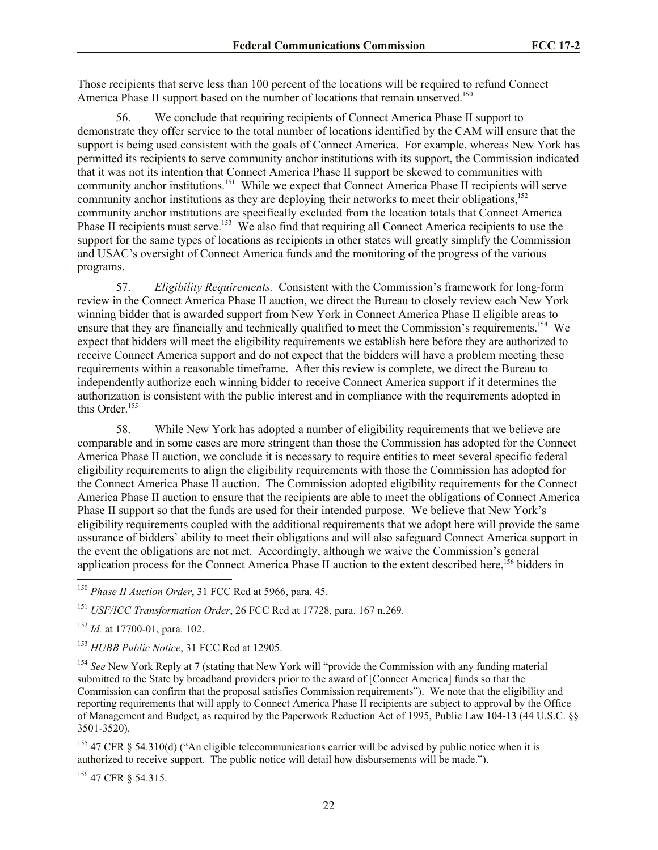Those recipients that serve less than 100 percent of the locations will be required to refund Connect America Phase II support based on the number of locations that remain unserved.<sup>150</sup>

56. We conclude that requiring recipients of Connect America Phase II support to demonstrate they offer service to the total number of locations identified by the CAM will ensure that the support is being used consistent with the goals of Connect America. For example, whereas New York has permitted its recipients to serve community anchor institutions with its support, the Commission indicated that it was not its intention that Connect America Phase II support be skewed to communities with community anchor institutions.<sup>151</sup> While we expect that Connect America Phase II recipients will serve community anchor institutions as they are deploying their networks to meet their obligations,<sup>152</sup> community anchor institutions are specifically excluded from the location totals that Connect America Phase II recipients must serve.<sup>153</sup> We also find that requiring all Connect America recipients to use the support for the same types of locations as recipients in other states will greatly simplify the Commission and USAC's oversight of Connect America funds and the monitoring of the progress of the various programs.

57. *Eligibility Requirements.* Consistent with the Commission's framework for long-form review in the Connect America Phase II auction, we direct the Bureau to closely review each New York winning bidder that is awarded support from New York in Connect America Phase II eligible areas to ensure that they are financially and technically qualified to meet the Commission's requirements.<sup>154</sup> We expect that bidders will meet the eligibility requirements we establish here before they are authorized to receive Connect America support and do not expect that the bidders will have a problem meeting these requirements within a reasonable timeframe. After this review is complete, we direct the Bureau to independently authorize each winning bidder to receive Connect America support if it determines the authorization is consistent with the public interest and in compliance with the requirements adopted in this Order.<sup>155</sup>

58. While New York has adopted a number of eligibility requirements that we believe are comparable and in some cases are more stringent than those the Commission has adopted for the Connect America Phase II auction, we conclude it is necessary to require entities to meet several specific federal eligibility requirements to align the eligibility requirements with those the Commission has adopted for the Connect America Phase II auction. The Commission adopted eligibility requirements for the Connect America Phase II auction to ensure that the recipients are able to meet the obligations of Connect America Phase II support so that the funds are used for their intended purpose. We believe that New York's eligibility requirements coupled with the additional requirements that we adopt here will provide the same assurance of bidders' ability to meet their obligations and will also safeguard Connect America support in the event the obligations are not met. Accordingly, although we waive the Commission's general application process for the Connect America Phase II auction to the extent described here,<sup>156</sup> bidders in

l

<sup>153</sup> *HUBB Public Notice*, 31 FCC Rcd at 12905.

<sup>154</sup> *See* New York Reply at 7 (stating that New York will "provide the Commission with any funding material submitted to the State by broadband providers prior to the award of [Connect America] funds so that the Commission can confirm that the proposal satisfies Commission requirements"). We note that the eligibility and reporting requirements that will apply to Connect America Phase II recipients are subject to approval by the Office of Management and Budget, as required by the Paperwork Reduction Act of 1995, Public Law 104-13 (44 U.S.C. §§ 3501-3520).

<sup>155</sup> 47 CFR § 54.310(d) ("An eligible telecommunications carrier will be advised by public notice when it is authorized to receive support. The public notice will detail how disbursements will be made.").

<sup>156</sup> 47 CFR § 54.315.

<sup>150</sup> *Phase II Auction Order*, 31 FCC Rcd at 5966, para. 45.

<sup>151</sup> *USF/ICC Transformation Order*, 26 FCC Rcd at 17728, para. 167 n.269.

<sup>152</sup> *Id.* at 17700-01, para. 102.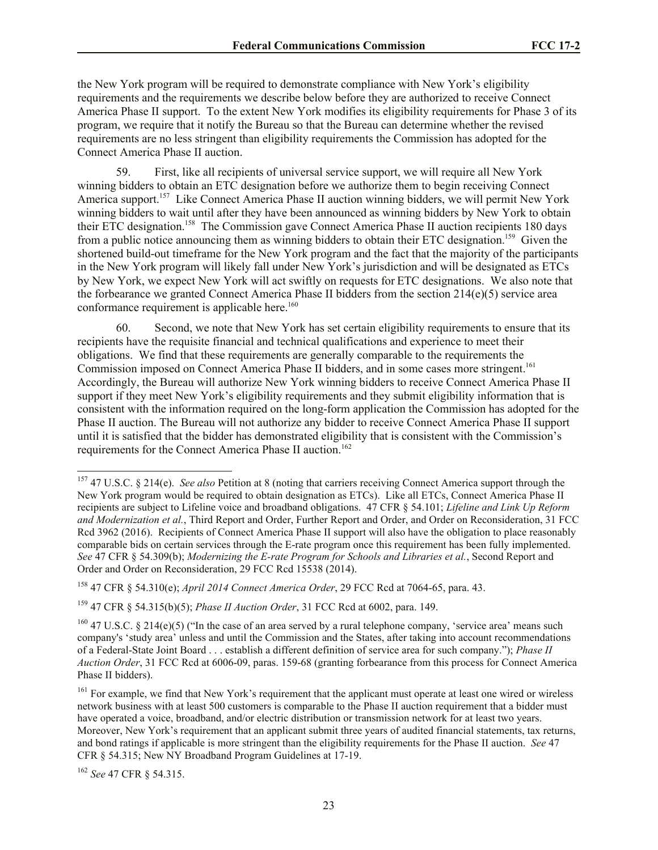the New York program will be required to demonstrate compliance with New York's eligibility requirements and the requirements we describe below before they are authorized to receive Connect America Phase II support. To the extent New York modifies its eligibility requirements for Phase 3 of its program, we require that it notify the Bureau so that the Bureau can determine whether the revised requirements are no less stringent than eligibility requirements the Commission has adopted for the Connect America Phase II auction.

59. First, like all recipients of universal service support, we will require all New York winning bidders to obtain an ETC designation before we authorize them to begin receiving Connect America support.<sup>157</sup> Like Connect America Phase II auction winning bidders, we will permit New York winning bidders to wait until after they have been announced as winning bidders by New York to obtain their ETC designation.<sup>158</sup> The Commission gave Connect America Phase II auction recipients 180 days from a public notice announcing them as winning bidders to obtain their ETC designation.<sup>159</sup> Given the shortened build-out timeframe for the New York program and the fact that the majority of the participants in the New York program will likely fall under New York's jurisdiction and will be designated as ETCs by New York, we expect New York will act swiftly on requests for ETC designations. We also note that the forbearance we granted Connect America Phase II bidders from the section  $214(e)(5)$  service area conformance requirement is applicable here.<sup>160</sup>

60. Second, we note that New York has set certain eligibility requirements to ensure that its recipients have the requisite financial and technical qualifications and experience to meet their obligations. We find that these requirements are generally comparable to the requirements the Commission imposed on Connect America Phase II bidders, and in some cases more stringent.<sup>161</sup> Accordingly, the Bureau will authorize New York winning bidders to receive Connect America Phase II support if they meet New York's eligibility requirements and they submit eligibility information that is consistent with the information required on the long-form application the Commission has adopted for the Phase II auction. The Bureau will not authorize any bidder to receive Connect America Phase II support until it is satisfied that the bidder has demonstrated eligibility that is consistent with the Commission's requirements for the Connect America Phase II auction.<sup>162</sup>

 $\overline{a}$ <sup>157</sup> 47 U.S.C. § 214(e). *See also* Petition at 8 (noting that carriers receiving Connect America support through the New York program would be required to obtain designation as ETCs). Like all ETCs, Connect America Phase II recipients are subject to Lifeline voice and broadband obligations. 47 CFR § 54.101; *Lifeline and Link Up Reform and Modernization et al.*, Third Report and Order, Further Report and Order, and Order on Reconsideration, 31 FCC Rcd 3962 (2016). Recipients of Connect America Phase II support will also have the obligation to place reasonably comparable bids on certain services through the E-rate program once this requirement has been fully implemented. *See* 47 CFR § 54.309(b); *Modernizing the E-rate Program for Schools and Libraries et al.*, Second Report and Order and Order on Reconsideration, 29 FCC Rcd 15538 (2014).

<sup>158</sup> 47 CFR § 54.310(e); *April 2014 Connect America Order*, 29 FCC Rcd at 7064-65, para. 43.

<sup>159</sup> 47 CFR § 54.315(b)(5); *Phase II Auction Order*, 31 FCC Rcd at 6002, para. 149.

<sup>&</sup>lt;sup>160</sup> 47 U.S.C. § 214(e)(5) ("In the case of an area served by a rural telephone company, 'service area' means such company's 'study area' unless and until the Commission and the States, after taking into account recommendations of a Federal-State Joint Board . . . establish a different definition of service area for such company."); *Phase II Auction Order*, 31 FCC Rcd at 6006-09, paras. 159-68 (granting forbearance from this process for Connect America Phase II bidders).

<sup>&</sup>lt;sup>161</sup> For example, we find that New York's requirement that the applicant must operate at least one wired or wireless network business with at least 500 customers is comparable to the Phase II auction requirement that a bidder must have operated a voice, broadband, and/or electric distribution or transmission network for at least two years. Moreover, New York's requirement that an applicant submit three years of audited financial statements, tax returns, and bond ratings if applicable is more stringent than the eligibility requirements for the Phase II auction. *See* 47 CFR § 54.315; New NY Broadband Program Guidelines at 17-19.

<sup>162</sup> *See* 47 CFR § 54.315.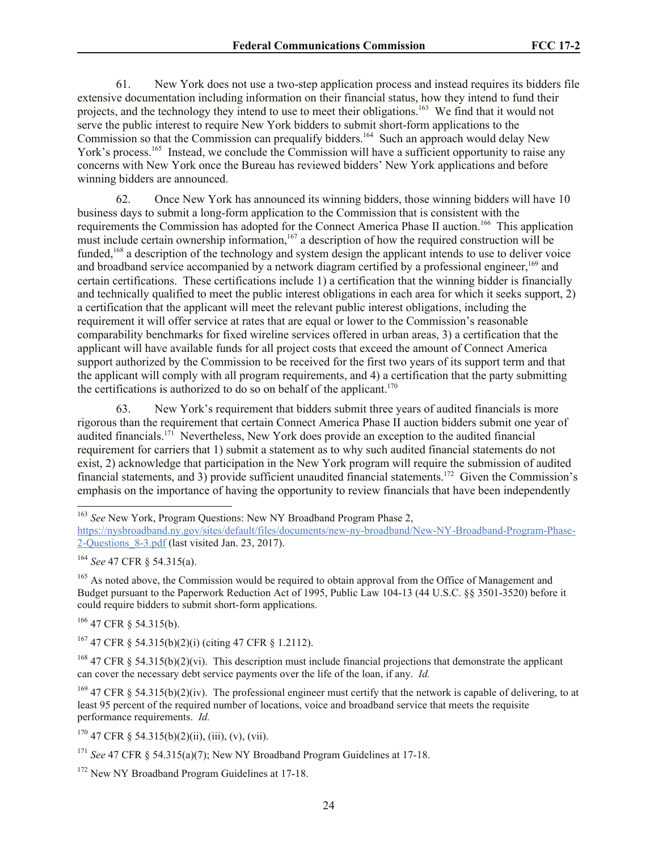61. New York does not use a two-step application process and instead requires its bidders file extensive documentation including information on their financial status, how they intend to fund their projects, and the technology they intend to use to meet their obligations.<sup>163</sup> We find that it would not serve the public interest to require New York bidders to submit short-form applications to the Commission so that the Commission can prequalify bidders.<sup>164</sup> Such an approach would delay New York's process.<sup>165</sup> Instead, we conclude the Commission will have a sufficient opportunity to raise any concerns with New York once the Bureau has reviewed bidders' New York applications and before winning bidders are announced.

62. Once New York has announced its winning bidders, those winning bidders will have 10 business days to submit a long-form application to the Commission that is consistent with the requirements the Commission has adopted for the Connect America Phase II auction.<sup>166</sup> This application must include certain ownership information,<sup>167</sup> a description of how the required construction will be funded,<sup>168</sup> a description of the technology and system design the applicant intends to use to deliver voice and broadband service accompanied by a network diagram certified by a professional engineer,<sup>169</sup> and certain certifications. These certifications include 1) a certification that the winning bidder is financially and technically qualified to meet the public interest obligations in each area for which it seeks support, 2) a certification that the applicant will meet the relevant public interest obligations, including the requirement it will offer service at rates that are equal or lower to the Commission's reasonable comparability benchmarks for fixed wireline services offered in urban areas, 3) a certification that the applicant will have available funds for all project costs that exceed the amount of Connect America support authorized by the Commission to be received for the first two years of its support term and that the applicant will comply with all program requirements, and 4) a certification that the party submitting the certifications is authorized to do so on behalf of the applicant.<sup>170</sup>

63. New York's requirement that bidders submit three years of audited financials is more rigorous than the requirement that certain Connect America Phase II auction bidders submit one year of audited financials.<sup>171</sup> Nevertheless, New York does provide an exception to the audited financial requirement for carriers that 1) submit a statement as to why such audited financial statements do not exist, 2) acknowledge that participation in the New York program will require the submission of audited financial statements, and 3) provide sufficient unaudited financial statements.<sup>172</sup> Given the Commission's emphasis on the importance of having the opportunity to review financials that have been independently

<sup>164</sup> *See* 47 CFR § 54.315(a).

l

<sup>165</sup> As noted above, the Commission would be required to obtain approval from the Office of Management and Budget pursuant to the Paperwork Reduction Act of 1995, Public Law 104-13 (44 U.S.C. §§ 3501-3520) before it could require bidders to submit short-form applications.

<sup>166</sup> 47 CFR § 54.315(b).

 $167$  47 CFR § 54.315(b)(2)(i) (citing 47 CFR § 1.2112).

<sup>168</sup> 47 CFR § 54.315(b)(2)(vi). This description must include financial projections that demonstrate the applicant can cover the necessary debt service payments over the life of the loan, if any. *Id.*

<sup>169</sup> 47 CFR § 54.315(b)(2)(iv). The professional engineer must certify that the network is capable of delivering, to at least 95 percent of the required number of locations, voice and broadband service that meets the requisite performance requirements. *Id.*

 $170$  47 CFR § 54.315(b)(2)(ii), (iii), (v), (vii).

<sup>172</sup> New NY Broadband Program Guidelines at 17-18.

<sup>163</sup> *See* New York, Program Questions: New NY Broadband Program Phase 2,

https://nysbroadband.ny.gov/sites/default/files/documents/new-ny-broadband/New-NY-Broadband-Program-Phase-2-Questions\_8-3.pdf (last visited Jan. 23, 2017).

<sup>&</sup>lt;sup>171</sup> See 47 CFR § 54.315(a)(7); New NY Broadband Program Guidelines at 17-18.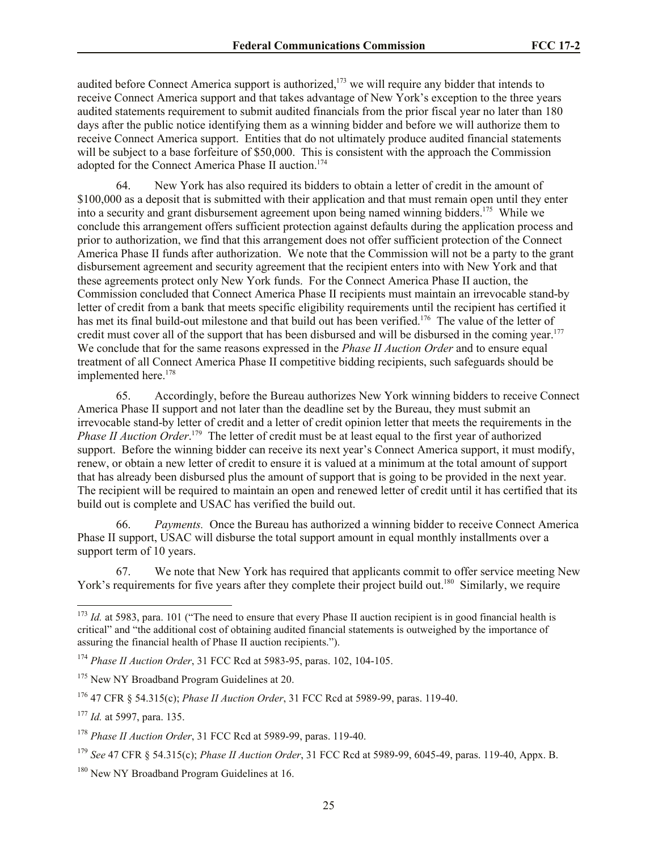audited before Connect America support is authorized, $173$  we will require any bidder that intends to receive Connect America support and that takes advantage of New York's exception to the three years audited statements requirement to submit audited financials from the prior fiscal year no later than 180 days after the public notice identifying them as a winning bidder and before we will authorize them to receive Connect America support. Entities that do not ultimately produce audited financial statements will be subject to a base forfeiture of \$50,000. This is consistent with the approach the Commission adopted for the Connect America Phase II auction.<sup>174</sup>

64. New York has also required its bidders to obtain a letter of credit in the amount of \$100,000 as a deposit that is submitted with their application and that must remain open until they enter into a security and grant disbursement agreement upon being named winning bidders.<sup>175</sup> While we conclude this arrangement offers sufficient protection against defaults during the application process and prior to authorization, we find that this arrangement does not offer sufficient protection of the Connect America Phase II funds after authorization. We note that the Commission will not be a party to the grant disbursement agreement and security agreement that the recipient enters into with New York and that these agreements protect only New York funds. For the Connect America Phase II auction, the Commission concluded that Connect America Phase II recipients must maintain an irrevocable stand-by letter of credit from a bank that meets specific eligibility requirements until the recipient has certified it has met its final build-out milestone and that build out has been verified.<sup>176</sup> The value of the letter of credit must cover all of the support that has been disbursed and will be disbursed in the coming year.<sup>177</sup> We conclude that for the same reasons expressed in the *Phase II Auction Order* and to ensure equal treatment of all Connect America Phase II competitive bidding recipients, such safeguards should be implemented here.<sup>178</sup>

65. Accordingly, before the Bureau authorizes New York winning bidders to receive Connect America Phase II support and not later than the deadline set by the Bureau, they must submit an irrevocable stand-by letter of credit and a letter of credit opinion letter that meets the requirements in the Phase II Auction Order.<sup>179</sup> The letter of credit must be at least equal to the first year of authorized support. Before the winning bidder can receive its next year's Connect America support, it must modify, renew, or obtain a new letter of credit to ensure it is valued at a minimum at the total amount of support that has already been disbursed plus the amount of support that is going to be provided in the next year. The recipient will be required to maintain an open and renewed letter of credit until it has certified that its build out is complete and USAC has verified the build out.

66. *Payments.* Once the Bureau has authorized a winning bidder to receive Connect America Phase II support, USAC will disburse the total support amount in equal monthly installments over a support term of 10 years.

67. We note that New York has required that applicants commit to offer service meeting New York's requirements for five years after they complete their project build out.<sup>180</sup> Similarly, we require

 $173$  *Id.* at 5983, para. 101 ("The need to ensure that every Phase II auction recipient is in good financial health is critical" and "the additional cost of obtaining audited financial statements is outweighed by the importance of assuring the financial health of Phase II auction recipients.").

<sup>174</sup> *Phase II Auction Order*, 31 FCC Rcd at 5983-95, paras. 102, 104-105.

<sup>&</sup>lt;sup>175</sup> New NY Broadband Program Guidelines at 20.

<sup>176</sup> 47 CFR § 54.315(c); *Phase II Auction Order*, 31 FCC Rcd at 5989-99, paras. 119-40.

<sup>177</sup> *Id.* at 5997, para. 135.

<sup>178</sup> *Phase II Auction Order*, 31 FCC Rcd at 5989-99, paras. 119-40.

<sup>179</sup> *See* 47 CFR § 54.315(c); *Phase II Auction Order*, 31 FCC Rcd at 5989-99, 6045-49, paras. 119-40, Appx. B.

<sup>&</sup>lt;sup>180</sup> New NY Broadband Program Guidelines at 16.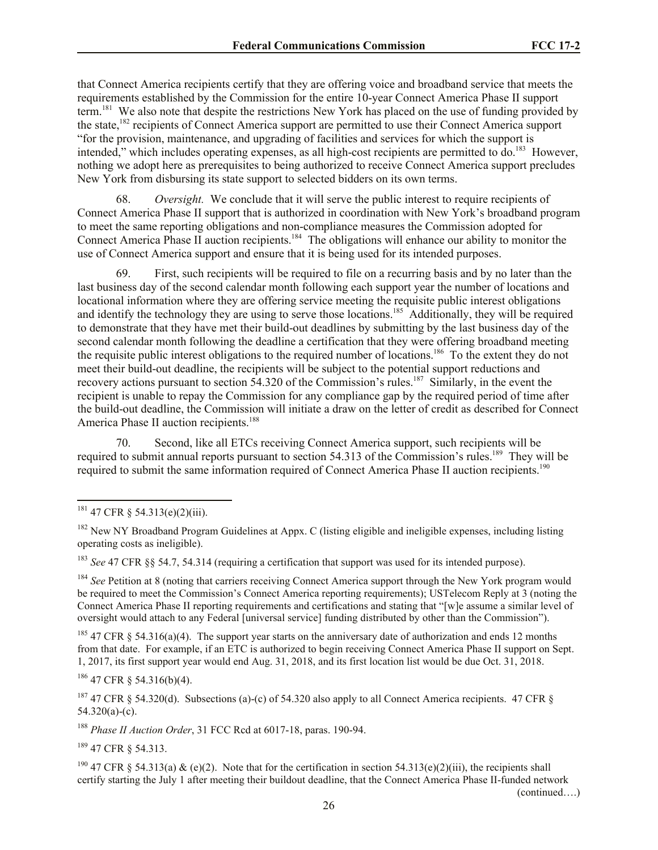that Connect America recipients certify that they are offering voice and broadband service that meets the requirements established by the Commission for the entire 10-year Connect America Phase II support term.<sup>181</sup> We also note that despite the restrictions New York has placed on the use of funding provided by the state,<sup>182</sup> recipients of Connect America support are permitted to use their Connect America support "for the provision, maintenance, and upgrading of facilities and services for which the support is intended," which includes operating expenses, as all high-cost recipients are permitted to do.<sup>183</sup> However, nothing we adopt here as prerequisites to being authorized to receive Connect America support precludes New York from disbursing its state support to selected bidders on its own terms.

68. *Oversight.* We conclude that it will serve the public interest to require recipients of Connect America Phase II support that is authorized in coordination with New York's broadband program to meet the same reporting obligations and non-compliance measures the Commission adopted for Connect America Phase II auction recipients.<sup>184</sup> The obligations will enhance our ability to monitor the use of Connect America support and ensure that it is being used for its intended purposes.

69. First, such recipients will be required to file on a recurring basis and by no later than the last business day of the second calendar month following each support year the number of locations and locational information where they are offering service meeting the requisite public interest obligations and identify the technology they are using to serve those locations.<sup>185</sup> Additionally, they will be required to demonstrate that they have met their build-out deadlines by submitting by the last business day of the second calendar month following the deadline a certification that they were offering broadband meeting the requisite public interest obligations to the required number of locations.<sup>186</sup> To the extent they do not meet their build-out deadline, the recipients will be subject to the potential support reductions and recovery actions pursuant to section 54.320 of the Commission's rules.<sup>187</sup> Similarly, in the event the recipient is unable to repay the Commission for any compliance gap by the required period of time after the build-out deadline, the Commission will initiate a draw on the letter of credit as described for Connect America Phase II auction recipients.<sup>188</sup>

70. Second, like all ETCs receiving Connect America support, such recipients will be required to submit annual reports pursuant to section 54.313 of the Commission's rules.<sup>189</sup> They will be required to submit the same information required of Connect America Phase II auction recipients.<sup>190</sup>

l

<sup>183</sup> *See* 47 CFR §§ 54.7, 54.314 (requiring a certification that support was used for its intended purpose).

<sup>184</sup> *See* Petition at 8 (noting that carriers receiving Connect America support through the New York program would be required to meet the Commission's Connect America reporting requirements); USTelecom Reply at 3 (noting the Connect America Phase II reporting requirements and certifications and stating that "[w]e assume a similar level of oversight would attach to any Federal [universal service] funding distributed by other than the Commission").

<sup>185</sup> 47 CFR § 54.316(a)(4). The support year starts on the anniversary date of authorization and ends 12 months from that date. For example, if an ETC is authorized to begin receiving Connect America Phase II support on Sept. 1, 2017, its first support year would end Aug. 31, 2018, and its first location list would be due Oct. 31, 2018.

 $186$  47 CFR  $\frac{1}{6}$  54.316(b)(4).

<sup>187</sup> 47 CFR § 54.320(d). Subsections (a)-(c) of 54.320 also apply to all Connect America recipients. 47 CFR §  $54.320(a)-(c)$ .

<sup>188</sup> *Phase II Auction Order*, 31 FCC Rcd at 6017-18, paras. 190-94.

<sup>189</sup> 47 CFR § 54.313.

<sup>190</sup> 47 CFR § 54.313(a) & (e)(2). Note that for the certification in section 54.313(e)(2)(iii), the recipients shall certify starting the July 1 after meeting their buildout deadline, that the Connect America Phase II-funded network

(continued….)

 $181$  47 CFR § 54.313(e)(2)(iii).

<sup>&</sup>lt;sup>182</sup> New NY Broadband Program Guidelines at Appx. C (listing eligible and ineligible expenses, including listing operating costs as ineligible).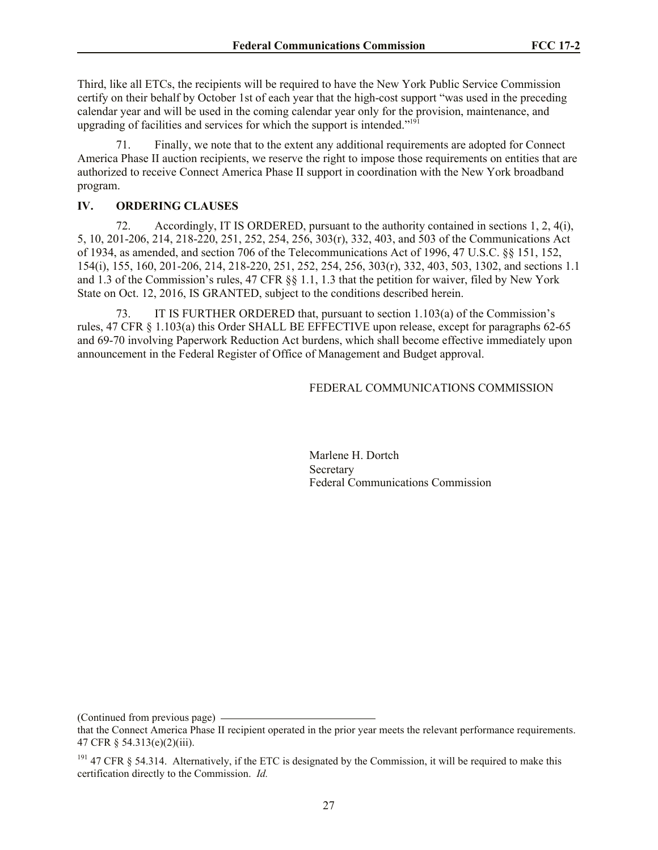Third, like all ETCs, the recipients will be required to have the New York Public Service Commission certify on their behalf by October 1st of each year that the high-cost support "was used in the preceding calendar year and will be used in the coming calendar year only for the provision, maintenance, and upgrading of facilities and services for which the support is intended."<sup>191</sup>

71. Finally, we note that to the extent any additional requirements are adopted for Connect America Phase II auction recipients, we reserve the right to impose those requirements on entities that are authorized to receive Connect America Phase II support in coordination with the New York broadband program.

#### **IV. ORDERING CLAUSES**

72. Accordingly, IT IS ORDERED, pursuant to the authority contained in sections 1, 2, 4(i), 5, 10, 201-206, 214, 218-220, 251, 252, 254, 256, 303(r), 332, 403, and 503 of the Communications Act of 1934, as amended, and section 706 of the Telecommunications Act of 1996, 47 U.S.C. §§ 151, 152, 154(i), 155, 160, 201-206, 214, 218-220, 251, 252, 254, 256, 303(r), 332, 403, 503, 1302, and sections 1.1 and 1.3 of the Commission's rules, 47 CFR §§ 1.1, 1.3 that the petition for waiver, filed by New York State on Oct. 12, 2016, IS GRANTED, subject to the conditions described herein.

73. IT IS FURTHER ORDERED that, pursuant to section 1.103(a) of the Commission's rules, 47 CFR § 1.103(a) this Order SHALL BE EFFECTIVE upon release, except for paragraphs 62-65 and 69-70 involving Paperwork Reduction Act burdens, which shall become effective immediately upon announcement in the Federal Register of Office of Management and Budget approval.

#### FEDERAL COMMUNICATIONS COMMISSION

Marlene H. Dortch **Secretary** Federal Communications Commission

(Continued from previous page)

that the Connect America Phase II recipient operated in the prior year meets the relevant performance requirements. 47 CFR § 54.313(e)(2)(iii).

 $191$  47 CFR § 54.314. Alternatively, if the ETC is designated by the Commission, it will be required to make this certification directly to the Commission. *Id.*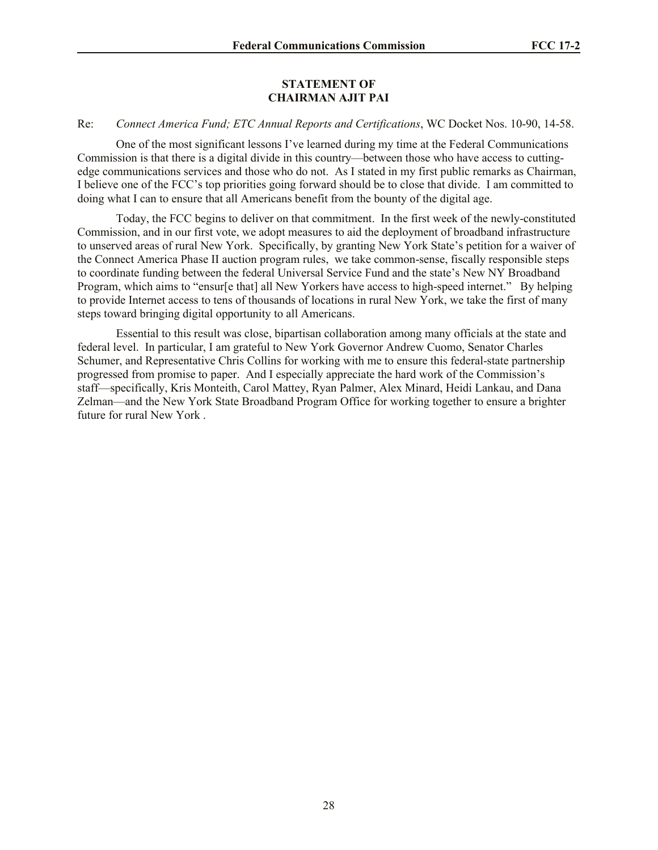#### **STATEMENT OF CHAIRMAN AJIT PAI**

### Re: *Connect America Fund; ETC Annual Reports and Certifications*, WC Docket Nos. 10-90, 14-58.

One of the most significant lessons I've learned during my time at the Federal Communications Commission is that there is a digital divide in this country—between those who have access to cuttingedge communications services and those who do not. As I stated in my first public remarks as Chairman, I believe one of the FCC's top priorities going forward should be to close that divide. I am committed to doing what I can to ensure that all Americans benefit from the bounty of the digital age.

Today, the FCC begins to deliver on that commitment. In the first week of the newly-constituted Commission, and in our first vote, we adopt measures to aid the deployment of broadband infrastructure to unserved areas of rural New York. Specifically, by granting New York State's petition for a waiver of the Connect America Phase II auction program rules, we take common-sense, fiscally responsible steps to coordinate funding between the federal Universal Service Fund and the state's New NY Broadband Program, which aims to "ensur[e that] all New Yorkers have access to high-speed internet." By helping to provide Internet access to tens of thousands of locations in rural New York, we take the first of many steps toward bringing digital opportunity to all Americans.

Essential to this result was close, bipartisan collaboration among many officials at the state and federal level. In particular, I am grateful to New York Governor Andrew Cuomo, Senator Charles Schumer, and Representative Chris Collins for working with me to ensure this federal-state partnership progressed from promise to paper. And I especially appreciate the hard work of the Commission's staff—specifically, Kris Monteith, Carol Mattey, Ryan Palmer, Alex Minard, Heidi Lankau, and Dana Zelman—and the New York State Broadband Program Office for working together to ensure a brighter future for rural New York .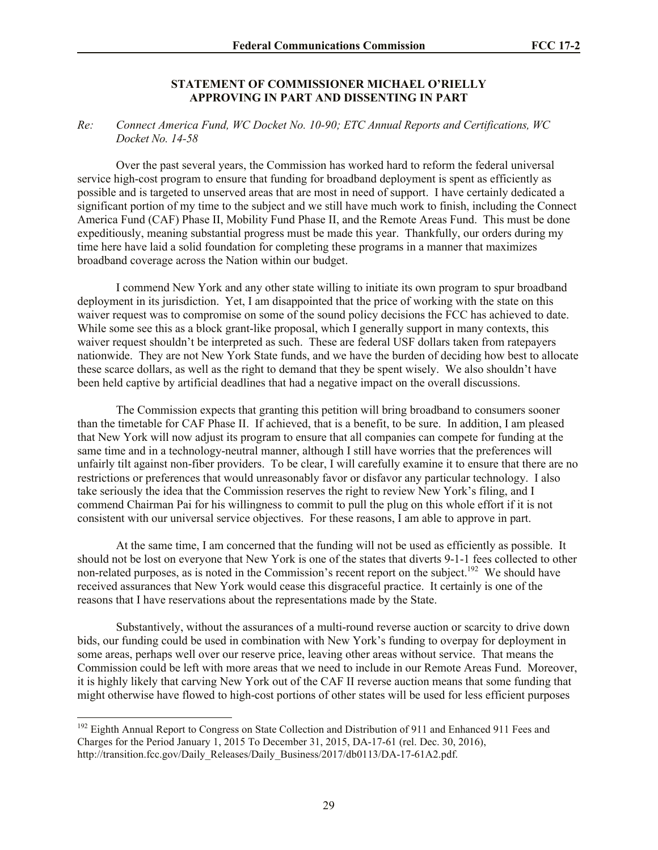#### **STATEMENT OF COMMISSIONER MICHAEL O'RIELLY APPROVING IN PART AND DISSENTING IN PART**

#### *Re: Connect America Fund, WC Docket No. 10-90; ETC Annual Reports and Certifications, WC Docket No. 14-58*

Over the past several years, the Commission has worked hard to reform the federal universal service high-cost program to ensure that funding for broadband deployment is spent as efficiently as possible and is targeted to unserved areas that are most in need of support. I have certainly dedicated a significant portion of my time to the subject and we still have much work to finish, including the Connect America Fund (CAF) Phase II, Mobility Fund Phase II, and the Remote Areas Fund. This must be done expeditiously, meaning substantial progress must be made this year. Thankfully, our orders during my time here have laid a solid foundation for completing these programs in a manner that maximizes broadband coverage across the Nation within our budget.

I commend New York and any other state willing to initiate its own program to spur broadband deployment in its jurisdiction. Yet, I am disappointed that the price of working with the state on this waiver request was to compromise on some of the sound policy decisions the FCC has achieved to date. While some see this as a block grant-like proposal, which I generally support in many contexts, this waiver request shouldn't be interpreted as such. These are federal USF dollars taken from ratepayers nationwide. They are not New York State funds, and we have the burden of deciding how best to allocate these scarce dollars, as well as the right to demand that they be spent wisely. We also shouldn't have been held captive by artificial deadlines that had a negative impact on the overall discussions.

The Commission expects that granting this petition will bring broadband to consumers sooner than the timetable for CAF Phase II. If achieved, that is a benefit, to be sure. In addition, I am pleased that New York will now adjust its program to ensure that all companies can compete for funding at the same time and in a technology-neutral manner, although I still have worries that the preferences will unfairly tilt against non-fiber providers. To be clear, I will carefully examine it to ensure that there are no restrictions or preferences that would unreasonably favor or disfavor any particular technology. I also take seriously the idea that the Commission reserves the right to review New York's filing, and I commend Chairman Pai for his willingness to commit to pull the plug on this whole effort if it is not consistent with our universal service objectives. For these reasons, I am able to approve in part.

At the same time, I am concerned that the funding will not be used as efficiently as possible. It should not be lost on everyone that New York is one of the states that diverts 9-1-1 fees collected to other non-related purposes, as is noted in the Commission's recent report on the subject.<sup>192</sup> We should have received assurances that New York would cease this disgraceful practice. It certainly is one of the reasons that I have reservations about the representations made by the State.

Substantively, without the assurances of a multi-round reverse auction or scarcity to drive down bids, our funding could be used in combination with New York's funding to overpay for deployment in some areas, perhaps well over our reserve price, leaving other areas without service. That means the Commission could be left with more areas that we need to include in our Remote Areas Fund. Moreover, it is highly likely that carving New York out of the CAF II reverse auction means that some funding that might otherwise have flowed to high-cost portions of other states will be used for less efficient purposes

<sup>&</sup>lt;sup>192</sup> Eighth Annual Report to Congress on State Collection and Distribution of 911 and Enhanced 911 Fees and Charges for the Period January 1, 2015 To December 31, 2015, DA-17-61 (rel. Dec. 30, 2016), http://transition.fcc.gov/Daily\_Releases/Daily\_Business/2017/db0113/DA-17-61A2.pdf.